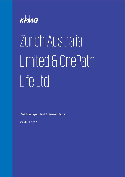

# Zurich Australia Limited & OnePath Life Ltd

Part 9 Independent Actuarial Report

23 March 2022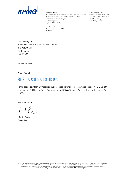

A division of KPMG Financial Services Consulting Pty Ltd Australian Financial Services Licence No. 392050 International Towers 3 Sydney 300 Barangaroo Ave Sydney NSW 2000

**KPMG Actuarial ABN: 91 144 686 046** Telephone: +61 2 9335 7000 Facsimile: +61 2 9335 7001 DX: 1056 Sydney www.kpmg.com.au

PO Box H67 Australia Square NSW 1215 Australia

Daniel Longden Zurich Financial Services Australia Limited 118 mount Street North Sydney NSW 2060

23 March 2022

Dear Daniel

# Part 9 Independent Actuarial Report

I am pleased to attach my report on the proposed transfer of life insurance policies from OnePath Life Limited ("**OPL**") to Zurich Australia Limited ("**ZAL**") under Part 9 of the Life Insurance Act (1995).

Yours sincerely

Martin Paino Executive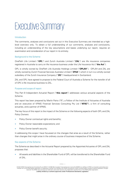# <span id="page-2-0"></span>Executive Summary

# Introduction

The comments, analyses and conclusions set out in this Executive Summary are intended as a highlevel overview only. To obtain a full understanding of our comments, analyses and conclusions, including an understanding of the key assumptions and bases underlying our report, requires an examination and consideration of our report in its entirety.

# Background to the Scheme

OnePath Life Limited ("**OPL**") and Zurich Australia Limited ("**ZAL**") are life insurance companies registered in Australia to carry on life insurance business under the Life Insurance Act ("**the Act**").

OPL is wholly owned by OnePath Life Australia Holdings Limited ("**OPLAH**"). OPLAH and ZAL are wholly owned by Zurich Financial Services Australia Limited ("**ZFSA**") which in turn is a wholly owned subsidiary of the Zurich Insurance Company ("**ZIC**") headquartered in Switzerland.

ZAL and OPL have agreed to propose to the Federal Court of Australia a Scheme for the transfer of all of OPL's life insurance business to ZAL.

# Purpose and scope of report

This Part 9 Independent Actuarial Report ("**this report**") addresses various actuarial aspects of the Scheme.

This report has been prepared by Martin Paino ("**I**"), a Fellow of the Institute of Actuaries of Australia and an executive of KPMG Financial Services Consulting Pty Ltd ("**KFSC"**), a firm of consulting actuaries, and a partner of KPMG.

The key focus of this report is the impact of the Scheme on the following aspects of both OPL and ZAL Policy Owners:

- Policy Owner contractual rights and benefits;
- Policy Owner reasonable expectations; and
- Policy Owner benefit security.

In addressing this scope I have focussed on the changes that arise as a result of the Scheme, rather than changes that might arise in the ordinary course of business irrespective of the Scheme.

# Key aspects of the Scheme

The Scheme as described in the Actuarial Report prepared by the Appointed Actuaries of OPL and ZAL proposes that:

• All assets and liabilities in the Shareholder Fund of OPL will be transferred to the Shareholder Fund of ZAL.

KPMG | i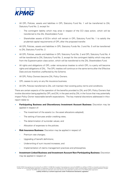

- All OPL Policies, assets and liabilities in OPL Statutory Fund No. 1 will be transferred to ZAL Statutory Fund No. 2, except for:
	- The contingent liability which may arise in respect of the CCI class action, which will be transferred to the ZAL Shareholders Fund.
	- Shareholder assets of \$12m which will remain in OPL Statutory Fund No. 1 to satisfy the prudential capital requirements of OPL after the proposed transfer.
- All OPL Policies, assets and liabilities in OPL Statutory Funds No. 3 and No. 5 will be transferred to ZAL Statutory Fund No. 2.
- All OPL Policies, assets and liabilities in OPL Statutory Fund No. 2 and OPL Statutory Fund No. 4 will be transferred to ZAL Statutory Fund No. 3, except for the contingent liability which may arise from the Superannuation class action, which will be transferred to the ZAL Shareholders Fund.
- All rights and obligations of OPL under reinsurance treaties to which OPL is a party will become rights and obligations of ZAL. The OPL treaties will continue on the same terms after the Effective Date and are therefore unaffected by the Scheme.
- All OPL Policy Owners become ZAL Policy Owners.
- OPL ceases to carry on any life insurance business.
- All OPL Policies transferred to ZAL will maintain their existing policy terms and conditions.

There are certain aspects of the operation of the benefits provided to ZAL and OPL Policy Owners that involve discretion being applied by OPL and ZAL in the past and by ZAL in the future that may potentially impact Policy Owner reasonable benefit expectations. The key material discretions addressed in this= report relate to:

- **Participating Business and Discretionary Investment Account Business:** Discretion may be applied in respect of:
	- The investment of the assets (i.e. the asset allocations adopted);
	- The setting of bonuses and/or crediting rates;
	- The determination of surrender values; and
	- Allocation of expenses to the policies.
- **Risk Insurance Business:** Discretion may be applied in respect of:
	- Premium rate changes;
	- Upgrading of benefit definitions;
	- Underwriting of sum insured increases; and
	- Implementation of claims management practices and philosophies.
- **Investment Linked Business and Investment Account Non-Participating Business:** Discretion may be applied in respect of: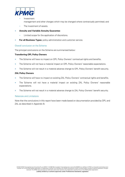

- **Investment** 
	- management and other charges which may be changed where contractually permitted; and
- The investment of assets.
- **Annuity and Variable Annuity Guarantee**:
	- Limited scope for the application of discretions.
- **For all Business Types:** policy administration and customer service.

# Overall conclusion on the Scheme

The principal conclusions on the Scheme are summarised below:

# **Transferring OPL Policy Owners**

- The Scheme will have no impact on OPL Policy Owners' contractual rights and benefits.
- The Scheme will not have a material impact on OPL Policy Owners' reasonable expectations.
- The Scheme will not result in a material adverse change to OPL Policy Owners' benefit security.

### **ZAL Policy Owners**

- The Scheme will have no impact on existing ZAL Policy Owners' contractual rights and benefits.
- The Scheme will not have a material impact on existing ZAL Policy Owners' reasonable expectations.
- The Scheme will not result in a material adverse change to ZAL Policy Owners' benefit security.

# Reliances and Limitations

Note that the conclusions in this report have been made based on documentation provided by OPL and ZAL as described in Appendix B.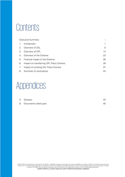# **Contents**

|                | <b>Executive Summary</b>                 |    |
|----------------|------------------------------------------|----|
| 1.             | Introduction                             |    |
| 2 <sub>1</sub> | Overview of ZAL                          | 5  |
| 3.             | Overview of OPL                          | 14 |
| 4.             | Overview of the Scheme                   | 23 |
| 5.             | Financial Impact of the Scheme           | 26 |
| 6.             | Impact on transferring OPL Policy Owners | 29 |
| 7.             | Impact on existing ZAL Policy Owners     | 37 |
| 8.             | Summary of conclusions                   | 43 |

# Appendices

| A Glossary              | 44 |
|-------------------------|----|
| B Documents relied upon | 45 |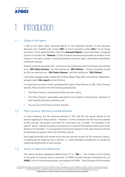

# <span id="page-6-0"></span>Introduction

# 1.1 Scope of this report

I refer to the report titled "Actuarial Report on the Proposed Transfer of Life Insurance Business from OnePath Life Limited (**OPL**) to Zurich Australia Limited (**ZAL**)" by Ian Wong and Stuart Turner dated 23 March 2022 (the **Actuarial Report**), which describes a proposed scheme of transfer (the "**Scheme**") of life insurance business and provides an analysis of the impact on the policy owners' contractual benefits and other rights, reasonable expectations and benefit security.

Owners of policies issued by OPL, which are to be transferred under the Scheme, are referred to as "**OPL Policy Owners**" and their policies as "**OPL Policies**". Owners of policies issued by ZAL are referred to as "**ZAL Policy Owners**" and their policies as "**ZAL Policies**".

I have been engaged under a Statement of Work dated 7 May 2021 to provide an independent actuarial report (**this report**) on the Scheme.

In conducting my review I have considered the impact of the Scheme on OPL Policy Owners and ZAL Policy Owners from the following perspectives:

- The Policy Owners' contractual benefits and other rights;
- The Policy Owners' reasonable expectations with respect to discretionary elements of their benefits and policy operation; and
- The security of the Policy Owners' benefits.

# 1.2 Policy Owners, Members and Beneficiaries

In many instances, the life insurance policies of OPL and ZAL are issued directly to the persons applying for those policies. However, in some instances the life insurance policies of OPL and ZAL are issued in the name of a third party e.g. a trustee. For example, in the case of "group" policies the policy is owned by the trustee of the superannuation fund for the benefit of its members. It is recognised in forming the opinions in this report that the ultimate beneficiaries are persons other than the Policy Owner.

Such legal ownership and trustee structures are common across the life insurance industry. In addressing the scope set out in Section 1.1 I have extended consideration to include the underlying beneficiaries of such policies.

# 1.3 Author of report and disclosures

This report has been prepared by Martin Paino ("**I**" or "**My**"). I am a Fellow of the Institute of Actuaries of Australia and an executive of KPMG Financial Services Consulting Pty Ltd (**KFSC**), a firm of consulting actuaries, and a partner of KPMG. I have 20 years of life insurance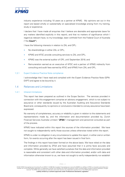

industry experience including 10 years as a partner at KPMG. My opinions set out in this report are based wholly or substantially on specialised knowledge arising from my training, study or experience.

I declare that I have made all enquiries that I believe are desirable and appropriate (save for any matters identified explicitly in this report), and that no matters of significance which I regard as relevant have, to my knowledge, been withheld from the Federal Court of Australia ("the **Court"**).

I have the following interests in relation to ZAL and OPL:

- No shareholdings in either ZAL or OPL;
- KPMG and KFSC provide consulting services to ZAL and OPL;
- KPMG was the external auditor of OPL until September 2018; and
- Remuneration earned as an executive of KFSC and a partner of KPMG indirectly from consulting and audit fees earned by KFSC and KPMG from ZAL and OPL.

### 1.3.1 Expert Evidence Practice Note compliance

I acknowledge that I have read and complied with the Expert Evidence Practice Note (GPN-EXPT) and agree to be bound by it.

# 1.4 Reliances and Limitations

### 1.4.1 Inherent limitations

This report has been prepared as outlined in the Scope Section. The services provided in connection with this engagement comprise an advisory engagement, which is not subject to assurance or other standards issued by the Australian Auditing and Assurance Standards Board and, consequently no opinions or conclusions intended to convey assurance have been expressed.

No warranty of completeness, accuracy or reliability is given in relation to the statements and representations made by, and the information and documentation provided by, Zurich Financial Services Australia Limited ("**ZFSA**") management and personnel consulted as part of the process.

KPMG have indicated within this report the sources of the information provided. We have not sought to independently verify those sources unless otherwise noted within the report.

KPMG is under no obligation in any circumstance to update this report, in either oral or written form, for events occurring after the report has been issued in final form.

The findings in this report have been formed on the above basis. We have relied on the data and information provided by ZFSA and have assumed that it is prima facie accurate and complete. While generally we have satisfied ourselves that the data and information provided is reasonable and consistent with other data and information provided, and/or with data and information otherwise known to us, we have not sought to verify independently nor establish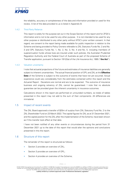

the reliability, accuracy or completeness of the data and information provided or used for this review. A list of the data provided to us is listed in Appendix B.

### 1.4.2 Third Party Reliance

This report is solely for the purpose set out in the Scope Section of this report and for ZFSA's information and is not to be used for any other purpose. It is not intended to be used for any other purpose or distributed to any other party without KFSC's prior written consent. In that regard, we consent to the report being made available for public inspection in relation to the Scheme and being provided to Policy Owners referable to ZAL Statutory Funds No. 2 and No. 3 and OPL Statutory Funds No. 1, No. 2, No. 3, No. 4 and No. 5. including members of superannuation funds whose lives are insured under such policies, the Australian Prudential Regulation Authority and the Federal Court of Australia as part of the proposed Scheme of Transfer application, pursuant to Section 191(2)(a) of the Life Insurance Act, 1995 ("**the Act**").

### 1.4.3 Valuation uncertainty

I note that actuarial projections of the future and estimates of insurance liabilities are generally subject to inherent uncertainties. The actual financial position of OPL and ZAL at the **Effective Date** of the Scheme is subject to the outcome of events that have not yet occurred. Actual experience could vary considerably from the estimates contained within this report and the Actuarial Report. Deviations are normal and are to be expected. The outcome of insurance business and ongoing solvency of ZAL cannot be guaranteed. I note that no absolute guarantee can be provided given the inherent uncertainty in insurance outcomes.

Calculations shown in this report are performed on unrounded numbers, so totals of tables presented in this report may not add to the sum of their components. All differences are immaterial.

# 1.5 Impact of recent events

The ZAL Board approved a transfer of \$25m of surplus from ZAL Statutory Fund No. 2 to the ZAL Shareholder Fund on 23 March 2022. The capital figures for ZAL as at 31 December 2021, and the capital position for the ZAL after the implementation of the Scheme, have been shown as if this transfer took effect at that date.

I have not been notified of any other events or circumstances during the period from 31 December 2021 up to the date of this report that would alter the opinions and conclusions presented in this the report.

# 1.6 Structure of this report

The remainder of this report is structured as follows:

- Section 2 provides an overview of ZAL;
- Section 3 provides an overview of OPL;
- Section 4 provides an overview of the Scheme;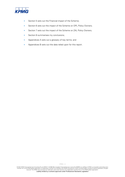

- Section 5 sets out the Financial impact of the Scheme;
- Section 6 sets out the impact of the Scheme on OPL Policy Owners;
- Section 7 sets out the impact of the Scheme on ZAL Policy Owners;
- Section 8 summarises my conclusions;
- Appendices A sets out a glossary of key terms; and
- Appendices B sets out the data relied upon for this report.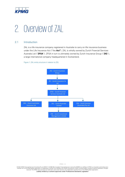

# <span id="page-10-0"></span>2. Overview of ZAL

# 2.1 Introduction

ZAL is a life insurance company registered in Australia to carry on life insurance business under the Life Insurance Act ("the **Act"**). ZAL is wholly owned by Zurich Financial Services Australia Ltd ("**ZFSA**"). ZFSA in turn is ultimately owned by Zurich Insurance Group ("**ZIG**"), a large international company headquartered in Switzerland.

Figure 1: ZAL entity structure in relation to ZIG.

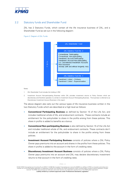

# 2.2 Statutory funds and Shareholder Fund

ZAL has 2 Statutory Funds, which contain all the life insurance business of ZAL, and a Shareholder Fund as set out in the following diagram:

Figure 2: Diagram of ZAL Funds.



Notes:

- 1. ZAL Shareholder Fund includes the holding in ZIM.
- 2. Investment Account Non-participating Business within ZAL provides investment returns to Policy Owners which are discretionary and therefore operates in a similar to Investment Account Participating Business. This business is referred to as Discretionary Investment Account Business in this report.

The above diagram also sets out the various types of life insurance business written in the two Statutory Funds which are described at a high level as follows:

- **Conventional Participating Business** as defined by Section 15 of the Life Act, and includes traditional whole of life, and endowment contracts. These contracts include an entitlement for the policyholder to share in the profits arising from these policies. This share in profits is added to benefits as a bonus.
- **Conventional Non-participating Business** is also defined by Section 15 of the Life Act and includes traditional whole of life, and endowment contracts. These contracts don't include an entitlement for the policyholder to share in the profits arising from these policies.
- **Investment Account Participating Business** consists of policies where a ZAL Policy Owner pays premiums into an account and shares in the profits from these policies. This share in profits is added to the account in the form of crediting rates.
- **Discretionary Investment Account Business** consists of policies where a ZAL Policy Owner pays premiums into an account and ZAL may declare discretionary investment returns to that account in the form of crediting rates.

KPMG | 6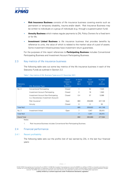

- **Risk Insurance Business** consists of life insurance business covering events such as permanent or temporary disability, trauma and/or death. Risk Insurance Business may be written to individuals or a group of individuals (e.g. through a superannuation fund).
- **Annuity Business** which makes regular payments to ZAL Policy Owners for a fixed term or for life.
- **Investment Linked Business** is life insurance business that provides benefits by reference to units, the value of which is related to the market value of a pool of assets. Some investment linked business have investment return guarantees.

For the purposes of this report references to **Participating Business** includes Conventional Participating Business and Investment Account Participating Business.

# 2.3 Key metrics of life insurance business

The following table sets out some key metrics of the life insurance business in each of the Statutory Funds as outlined in Section 2.2.

| Statutory<br>Fund     | <b>ZAL Business Type</b>                                                                | Open/<br>Closed to<br><b>New</b><br><b>Business</b> | In force<br><b>API</b><br>(Sm) | <b>Sum</b><br><b>Insured</b><br>(\$m) | <b>Number</b><br><sub>of</sub><br>policies |
|-----------------------|-----------------------------------------------------------------------------------------|-----------------------------------------------------|--------------------------------|---------------------------------------|--------------------------------------------|
| No. 2                 | <b>Conventional Participating</b>                                                       | Closed                                              | 1                              | 52                                    | 7,525                                      |
|                       | Investment Account Participating                                                        | Closed                                              | $\Omega$                       | 18                                    | 1,940                                      |
|                       | Investment Account Non-Participating<br>( <i>i.e.</i> Discretionary Investment Account) | Closed                                              | 0.4                            | 57                                    | 5,088                                      |
|                       | Risk Insurance <sup>1</sup>                                                             | Open                                                | 883                            | 259,695                               | 427,146                                    |
|                       | Annuity                                                                                 | Closed                                              | 0                              | 0                                     | 50                                         |
| Total No <sub>2</sub> |                                                                                         |                                                     | 885                            | 259,822                               | 441,749                                    |
| No.3                  | Investment linked                                                                       | Open                                                | 7                              | 1,047                                 | 35,815                                     |
| <b>Total No3</b>      |                                                                                         |                                                     | $\overline{7}$                 | 1.047                                 | 35,815                                     |
| <b>Grand Total</b>    |                                                                                         |                                                     | 892                            | 260,869                               | 477.564                                    |

Table 1: Key metrics of ZAL Business Types as at 31 December 2021.

Notes:

1. Risk Insurance Business includes Conventional Non-Participating Business.

# 2.4 Financial performance

### 2.4.1 Recent profitability

The following table sets out the profits (net of tax) earned by ZAL in the last four financial years:

<sup>© 2022</sup> KPMG Financial Services Consulting Pty Ltd ABN 91 144 686 046, Australian Financial Services Licence No.392050 is an affiliate of KPMG, an Australian partnership and a member firm of the KPMG global organisation of independent member firms affiliated with KPMG International Limited, a private English company limited by guarantee. All rights<br>reserved. The KPMG name and logo are trademarks Liability limited by a scheme approved under Professional Standards Legislation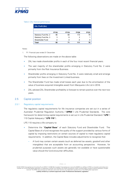

#### Table 2: ZAL financial performance.

| <b>ZAL Profit (\$m)</b> |             |             |             |             |
|-------------------------|-------------|-------------|-------------|-------------|
|                         | <b>FY18</b> | <b>FY19</b> | <b>FY20</b> | <b>FY21</b> |
| Statutory Fund No. 2    | 96          | 68          | 114         | 79          |
| Statutory Fund No. 3    | 3           | 6           | 2           |             |
| Shareholder Fund        |             | -3          |             |             |
| Total                   | 95          |             | 111         | 76          |

Notes:

1. FY: Financial year ended 31 December

The following observations are made on the above table:

- ZAL has made shareholder profits in each of the four most recent financial years.
- The vast majority of the shareholder profits emerging in Statutory Fund No. 2 were primarily from the Risk Insurance Business.
- Shareholder profits emerging in Statutory Fund No. 3 were relatively small and emerge primarily from fees on the Investment Linked business.
- The Shareholder Fund has made small losses each year due to the amortisation of the value of business acquired (intangible asset) from Macquarie Life Ltd in 2016.
- ZAL advised ZAL Shareholder profitability is forecast to remain positive over the next two years.

# 2.5 Capital position

# 2.5.1 Regulatory capital requirements

The regulatory capital requirements for life insurance companies are set out in a series of Australian Prudential Regulation Authority ("**APRA**") Life Prudential Standards. The core framework for determining capital requirements is set out in Life Prudential Standard ("**LPS**") 110 Capital Adequacy ("**LPS 110**").

LPS 110 requires a life company to:

- Determine the "**Capital Base**" of each Statutory Fund and Shareholder Fund. The Capital Base of a fund recognises the quality of the support provided by various forms of capital by imposing restrictions on certain sources of capital to meet regulatory capital requirements. In addition, the Capital Base includes adjustments to recognise that:
	- A fund may contain certain assets (such as deferred tax assets, goodwill and other intangibles) that are acceptable from an accounting perspective. However, for prudential purposes such assets are generally not available or have questionable value should the fund encounter difficulties.

<sup>© 2022</sup> KPMG Financial Services Consulting Pty Ltd ABN 91 144 686 046, Australian Financial Services Licence No.392050 is an affiliate of KPMG, an Australian partnership and a member firm of the KPMG global organisation of independent member firms affiliated with KPMG International Limited, a private English company limited by quarantee. All rights reserved. The KPMG name and logo are trademarks used under license by the independent member firms of the KPMG global organisation. Liability limited by a scheme approved under Professional Standards Legislation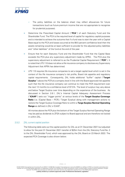

- The policy liabilities on the balance sheet may reflect allowances for future transactions (such as future premium income that are not appropriate to recognise for prudential purposes).
- Determine the Prescribed Capital Amount ("**PCA**") of each Statutory Fund and the Shareholder Fund. The PCA is the required level of capital for regulatory capital purposes and is intended to achieve the outcome that if a fund was to start the year with a Capital Base equal to the PCA and losses occurred at the 99.5 percent confidence level then the assets remaining would be at least sufficient to provide for the adjusted policy liabilities and "other liabilities" of the fund at the end of the year.
- Ensure that for each Statutory Fund and the Shareholder Fund that the Capital Base exceeds the PCA plus any supervisory adjustment made by APRA. The PCA plus the supervisory adjustment is referred to as the Prudential Capital Requirement ("**PCR**"). It is noted that LPS 110 does not allow a life insurance company to disclose any Supervisory Adjustment that APRA has determined.
- LPS 110 requires life insurance companies to set a target capital level which is set in the context of the life insurance company's risk profile, Board risk appetite and regulatory capital requirements. Consequently, ZAL holds additional "buffer" capital ("**Target Surplus**") above the PCR at a company level in line with the Board approved risk appetite such that the life insurance company can continue to meet the PCR requirement over the next 12 months to a confidence level of 97.5%. The level of surplus may vary above and below Target Surplus over time depending on the experience of the business. As discussed in Section 2.6.1, ZAL's Internal Capital Adequacy Assessment Process ("**ICAAP**") sets out "trigger points" at various levels of the **Target Surplus Coverage Ratio** (i.e. [Capital Base – PCR] / Target Surplus) along with management actions to restore the Target Surplus Coverage Ratio to within a **Targe Surplus Normal Operating Range** as defined in ZAL's ICAAP.

All monies above the PCR plus the bottom of the Target Surplus Normal Operating Range may be paid as dividends to ZFSA subject to Board approval and are therefore not locked in within ZAL.

### 2.5.2 ZAL current capital position

The following table sets out the capital position for ZAL as at 31 December 2021 but adjusted to allow for the post 31 December 2021 transfer of \$25m from the ZAL Statutory Fund No. 2 to the ZAL Shareholder Fund, which was approved by the ZAL Board on 23 March 2022. The expected PCA Coverage is also shown below.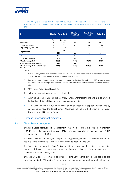

Table 3: ZAL capital position as at 31 December 2021 but adjusted for the post 31 December 2021 transfer of \$25m from the ZAL Statutory Fund No. 2 to the ZAL Shareholder Fund (as approved by the ZAL Board on 23 March 2022).

| $\mathsf{Sm}$                                           | <b>Statutory Fund No. 2</b> |          | <b>Statutory</b><br>Fund No. 3 | <b>Shareholder</b><br><b>Fund</b> | <b>Total ZAL</b> |
|---------------------------------------------------------|-----------------------------|----------|--------------------------------|-----------------------------------|------------------|
|                                                         | Par                         | Non par  |                                |                                   |                  |
| Net assets                                              | 6                           | 1.321    | 19                             | 273                               | 1,619            |
| Intangibles assets $1$                                  | 0                           | 0        | 0                              | $-246$                            | $-246$           |
| Regulatory adjustments <sup>2</sup>                     | 6                           | $-1,021$ | -1                             | $-1$                              | $-1,018$         |
|                                                         | 11                          | 300      |                                |                                   |                  |
| <b>Capital Base</b>                                     | 311                         |          | 19                             | 25                                | 355              |
| <b>PCA</b>                                              |                             | 135      | 3                              | 2                                 | 141              |
| Surplus above PCA                                       |                             | 176      | 15                             | 23                                | 214              |
| PCA Coverage Ratio <sup>3</sup>                         | 230%                        |          | 539%                           | 1,164%                            | 252%             |
| Surplus after March Transfer                            | 151                         |          | 15                             | 48                                | 214              |
| PCA Coverage Ratio <sup>3</sup> after March<br>Transfer |                             | 211%     | 539%                           | 2,318%                            | 252%             |

Notes:

- 1. Relates primarily to the value of the Macquarie Life Ltd business which is deducted from the net assets in order to determine the Capital Base under APRA Prudential Standard LPS 112.
- 2. Consists of various deductions to assets required under APRA Prudential Standard LPS 112 when calculating the Capital Base, for example deduction of deferred acquisition costs and allowing for minimum surrender values.
- 3. PCA Coverage Ratio = Capital Base / PCA

The following observations are made on the table:

- As at 31 December 2021 all the Statutory Funds, Shareholder Fund and ZAL as a whole had sufficient Capital Base to cover their respective PCA.
- The Surplus above the PCA is sufficient to cover supervisory adjustments required by APRA and maintain the Target Surplus Coverage Ratio above the bottom of the Target Surplus Normal Operating Range.

# 2.6 Company management practices

### 2.6.1 Risk and capital management

ZAL has a Board approved Risk Management Framework ("**RMF**"), Risk Appetite Statement ("**RAS**"), Risk Management Strategy ("**RMS**") and business plan as required under APRA Prudential Standard CPS 220.

The RMS describes the managerial responsibilities, policies, procedures and controls that ZAL has in place to manage risk. The RMS is common to both ZAL and OPL.

The RAS of ZAL sets out the Board's risk appetite and tolerances for various risks including the risk of breaching regulatory capital requirements, financial risks, insurance risks, operational risks and strategic risks.

ZAL and OPL adopt a common governance framework. Some governance activities are overseen for both ZAL and OPL by a single management committee while others are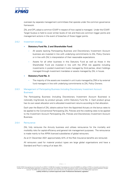

overseen by separate management committees that operate under the common governance framework.

ZAL and OPL adopt a common ICAAP in respect of how capital is managed. Under the ICAAP, Target Surplus is held to cover similar levels of risk and there are common trigger points and management actions in the event of breaches of those trigger points.

### 2.6.2 Investment strategy

### • **Statutory Fund No. 2 and Shareholder Fund:**

- All assets backing Participating Business and Discretionary Investment Account business are invested in line with underlying commitments to ZAL Policy Owners or in line with ZAL's interpretation of their reasonable expectations.
- Assets for all other business in this Statutory Fund as well as those in the Shareholder Fund are invested in line with the ZFSA risk appetite including investments in pooled investment trusts managed by third parties, direct holdings managed through investment mandates or assets managed by ZAL in house.

### • **Statutory Fund No. 3:**

The majority of the assets are invested in unit trusts managed by ZIM or by external fund managers in line with underlying commitments to ZAL Policy Owners.

# 2.6.3 Management of Participating Business (including Discretionary Investment Account Business)

The Participating Business (including Discretionary Investment Account Business) is notionally ring-fenced, by product groups, within Statutory Fund No. 2. Each product group has its own asset allocation and is allocated investment returns according to that allocation.

Each year the Board of ZAL obtains advice from the Appointed Actuary on the bonus rates to be applied to the Conventional Participating ZAL Policies and the crediting rates to be applied to the Investment Account Participating ZAL Policies and Discretionary Investment Account Business.

### 2.6.4 Reinsurance

ZAL fully reinsures the Annuity business and utilises reinsurance for the mortality and morbidity risks for capital efficiency and general risk management purposes. The reinsurance is made mainly to five APRA licenced subsidiaries of global reinsurers.

As at 31 December 2021 approximately 42% of the Risk Insurance benefits are reinsured.

All reinsurers used for material product types are large global organisations and have a Standard and Poor's rating of at least AA-.

<sup>© 2022</sup> KPMG Financial Services Consulting Pty Ltd ABN 91 144 686 046, Australian Financial Services Licence No.392050 is an affiliate of KPMG, an Australian partnership and a member firm of the KPMG global organisation of independent member firms affiliated with KPMG International Limited, a private English company limited by guarantee. All rights reserved. The KPMG name and logo are trademarks used under license by the independent member firms of the KPMG global organisation. Liability limited by a scheme approved under Professional Standards Legislation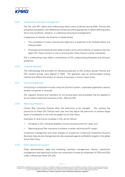

### 2.6.5 Underwriting and claims management

The ZAL and OPL claims and underwriting teams were combined during 2020. Policies and processes are aligned, with differences remaining where appropriate to reflect differing policy terms and conditions, systems, or underlying reinsurance arrangements.

Irrespective of whether the Scheme is implemented:

- The completion of policy and process alignment is expected to be finalised before the Effective date.
- Processes and procedures that relate to policy terms and conditions or systems that only apply OPL Policy Owners or only to Existing ZAL Policy Owners will be maintained.

ZAL's underwriting rules reflect a combination of ZAL underwriting philosophy and reinsurer guidelines.

### 2.6.6 Expense allocation

The methodology and principles for allocating expenses to ZAL product groups Policies and OPL product groups were aligned in 2020. The approach uses an activity-based costing method and reflects the drivers of volume of business in force in each entity.

### 2.6.7 Unit pricing approach

Unit pricing is conducted in-house using the pControl system, a specialist application used by several companies in Australia.

ZAL regularly reviews and maintains its unit pricing policy and processes that are applied to all unit linked investment business of ZAL, ZIM and OPL.

# 2.6.8 Repricing philosophy

Certain Risk Insurance Policies allow the premiums to be changed. ZAL reviews the premiums on these ZAL Policies each year and may adjust the premiums to achieve target levels of profitability in line with the global Zurich Risk Policy.

Examples of recent price increases in ZAL are as follows:

- Increases in ZAL individual disability income insurance premium rates; and
- Repricing group Risk Insurance to achieve a certain technical profit margin.

Investment management and other charges on Investment Linked and Investment Account Business may also be changed and are also assessed against profitability targets in the global Zurich Risk Policy.

# 2.6.9 Other operational functions

Policy administration, sales and marketing, business management, finance, investment management and reporting functions are conducted in-house by employees of ZFSA and ZSA under a Resources Deed with ZAL.

<sup>© 2022</sup> KPMG Financial Services Consulting Pty Ltd ABN 91 144 686 046, Australian Financial Services Licence No.392050 is an affiliate of KPMG, an Australian partnership and a member firm of the KPMG global organisation of independent member firms affiliated with KPMG International Limited, a private English company limited by guarantee. All rights reserved. The KPMG name and logo are trademarks used under license by the independent member firms of the KPMG global organisation. Liability limited by a scheme approved under Professional Standards Legislation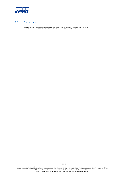

# 2.7 Remediation

There are no material remediation projects currently underway in ZAL.

© 2022 KPMG Financial Services Consulting Pty Ltd ABN 91 144 686 046, Australian Financial Services Licence No.392050 is an affiliate of KPMG, an Australian partnership and a<br>member firm of the KPMG global organisation of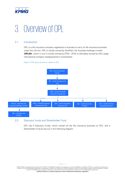

# <span id="page-19-0"></span>3. Overview of OPL

# 3.1 Introduction

OPL is a life insurance company registered in Australia to carry on life insurance business under the Life Act. OPL is wholly owned by OnePath Life Australia Holdings Limited (**OPLAH**), which in turn is wholly owned by ZFSA. ZFSA is ultimately owned by ZIG a large international company headquartered in Switzerland.

Figure 3: OPL entity structure in relation to ZIG.



# 3.2 Statutory funds and Shareholder Fund

OPL has 5 Statutory Funds, which contain all the life insurance business of OPL, and a Shareholder Fund as set out in the following diagram.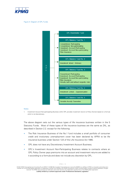

Figure 4: Diagram of OPL Funds.



#### Notes:

1. Investment Account Non-participating Business within OPL provides investment returns to Policy Owners based on a formula which is not discretionary.

The above diagram sets out the various types of life insurance business written in the 5 Statutory Funds. Most of these types of life insurance business are the same as ZAL, as described in Section 2.2. except for the following:

- The Risk Insurance Business of the No.1 fund includes a small portfolio of consumer credit and involuntary unemployment cover has been declared by APRA to be life insurance business under Section 12A of the Life Insurance Act 1995.
- OPL does not have any Discretionary Investment Account Business;
- OPL's Investment Account Non-Participating Business relates to contracts where an OPL Policy Owner pays premiums into an account and investment returns are added to it according to a formula and does not include any discretion by OPL.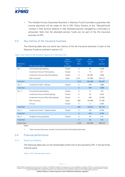

• The Variable Annuity Guarantee Business in Statutory Fund 5 provides a guarantee that income payments will be made for life to OPL Policy Owners of the "MoneyForLife "product if their account balance in their allocated pension managed by a third party is exhausted. Note that the allocated pension funds are not part of the life insurance business of OPL.

# 3.3 Key metrics of life insurance business

The following table sets out some key metrics of the life insurance business in each of the Statutory Funds as outlined in section 3.2.

| Statutory<br>Fund  | <b>OPL Business Type</b>                | Open/<br>Closed to<br><b>New</b><br><b>Business</b> | In force<br><b>API</b><br>(Sm) | Sum<br>Insured<br>(Sm) | Number<br>of<br>policies |
|--------------------|-----------------------------------------|-----------------------------------------------------|--------------------------------|------------------------|--------------------------|
| No. 1              | Conventional participating              | Closed                                              | $\Omega$                       | 52                     | 2,258                    |
|                    | <b>Investment Account Participating</b> | Closed                                              | $\mathbf 0$                    | 15                     | 577                      |
|                    | Investment Account Non-Participating    | Closed                                              | $\Omega$                       | 65,290                 | 2,859                    |
|                    | Risk Insurance <sup>1</sup>             | Open                                                | 1,012                          | 137,090                | 376,127                  |
| <b>Total No1</b>   |                                         |                                                     | 1,012                          | 202,448                | 381,821                  |
| No. 2              | Investment linked - Ordinary            | Closed                                              | $\mathbf 0$                    | 479                    | 7,869                    |
| <b>Total No2</b>   |                                         |                                                     | $\Omega$                       | 479                    | 7,869                    |
| No. 3              | Conventional participating              | Closed                                              | $\Omega$                       | 8                      | 128                      |
|                    | Investment Account (Participating)      | Closed                                              | $\Omega$                       | 76                     | 2,043                    |
|                    | Investment Account (Non-Participating)  | Closed                                              | 0                              | 449                    | 16,326                   |
|                    | Risk Insurance <sup>1</sup>             | Open                                                | 506                            | 143,380                | 72,338                   |
|                    | Annuity                                 | Closed                                              | $\Omega$                       | 0                      | 2,945                    |
| <b>Total No3</b>   |                                         |                                                     | 506                            | 143,913                | 93,779                   |
| No. 4              | Investment linked - Superannuation      | Closed                                              | $\mathbf 0$                    | 418                    | 9,790                    |
| <b>Total No4</b>   |                                         |                                                     | $\overline{0}$                 | 418                    | 9,790                    |
| No. 5              | Variable annuity guarantee              | Closed                                              | $\mathbf 0$                    | 35                     | 215                      |
| <b>Total No5</b>   |                                         |                                                     | $\overline{0}$                 | 35                     | 215                      |
| <b>Grand Total</b> |                                         |                                                     | 1,518                          | 347,292                | 493,474                  |

#### Table 4: Key metrics of OPL Business Types as at 31 December 2021

Notes:

1. Risk Insurance Business includes Conventional Non-Participating Business.

# 3.4 Financial performance

# 3.4.1 Recent profitability

The following table sets out the shareholder profits (net of tax) earned by OPL in the last three financial years:

Table 5: OPL Financial performance.

KPMG | 16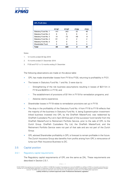

| <b>OPL Profit (\$m)</b> |                   |                   |             |             |  |  |
|-------------------------|-------------------|-------------------|-------------|-------------|--|--|
|                         | FY18 <sup>1</sup> | FY19 <sup>2</sup> | <b>FY20</b> | <b>FY21</b> |  |  |
| Statutory Fund No. 1    | $-141$            | $-343$            | 33          | 46          |  |  |
| Statutory Fund No. 2    | 6                 | 5                 | 6           | 4           |  |  |
| Statutory Fund No. 3    | 14                | $-72$             | $-49$       | -9          |  |  |
| Statutory Fund No. 4    | 61                | -4                | 2           | 2           |  |  |
| Statutory Fund No. 5    | O                 | 0                 | O           |             |  |  |
| Shareholder Fund        |                   | -6                |             | 0           |  |  |
| Total                   | -60               | -420              |             | 45          |  |  |

#### Notes:

- 1. 12 months ended 30 Sep 2018
- 2. 15 months ended 31 December 2019
- 3. FY20 and FY21 is 12 months ending 31 December

The following observations are made on the above table:

- OPL has made shareholder losses from FY18 to FY20, returning to profitability in FY21.
- The losses in Statutory Fund No. 1 and No. 3 were due to:
	- Strengthening of the risk business assumptions resulting in losses of \$(211)m in FY18 and \$(297)m in FY19; and
	- The establishment of provisions of \$114m in FY19 for remediation programs; and
	- Adverse claims experience.
- Shareholder losses in FY19 relate to remediation provisions set up in FY19.
- The drop in the profitability of the Statutory Fund No. 4 from FY18 to FY19 reflects that the majority of the business in Statutory Fund No. 4, being Superannuation investmentlinked business invested into OPL by the OnePath MasterFund, was redeemed by OnePath Custodians Pty Ltd in April 2019 as part of the successor fund transfer from the OnePath MasterFund to Retirement Portfolio Service, prior to the sale of OPL to the Zurich Group. OnePath Custodians Pty Ltd, the OnePath MasterFund, and the Retirement Portfolio Service were not part of that sale and are not part of the Zurich Group.
- OPL advised Shareholder profitability in OPL is forecast to remain profitable in the future. The Zurich Insurance Group also benefits from profits arising from OPL's reinsurance of lump sum Risk Insurance Business to ZIC.

# 3.5 Capital position

### 3.5.1 Regulatory capital requirements

The Regulatory capital requirements of OPL are the same as ZAL. These requirements are described in Section 2.5.1.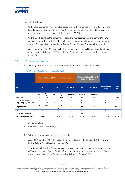

Consistent with ZAL:

- OPL holds additional Target Surplus above the PCR at a company level in line with the Board approved risk appetite such that OPL can continue to meet the PCR requirement over the next 12 months to a confidence level of 97.5%;
- OPL's ICAAP contains the same trigger point and management actions as the ZAL ICAAP as discussed in Section 2.5.1. This includes management actions to restore the Target Surplus Coverage Ratio to within the Target Surplus Normal Operating Range; and
- All monies above the PCR plus the bottom of the Target Surplus Normal Operating Range may be paid as dividends to ZFSA subject to Board approval and are therefore not locked within OPL.

# 3.5.2 OPL current capital position

The following table sets out the capital position for OPL as at 31 December 2021:

|                                 | Transfer to ZAL SF <sup>1</sup> No. 2 under the Scheme |                   |             |                 |          | Transfer to ZAL SF No. 3<br>under the Scheme |                 |                                   |                            |
|---------------------------------|--------------------------------------------------------|-------------------|-------------|-----------------|----------|----------------------------------------------|-----------------|-----------------------------------|----------------------------|
| \$m\$                           |                                                        | <b>SF No. 1</b>   |             | <b>SF No. 3</b> | SF No. 5 | <b>SF No. 2</b>                              | <b>SF No. 4</b> | <b>Shareholder</b><br><b>Fund</b> | <b>Total</b><br><b>OPL</b> |
|                                 | Par                                                    | <b>Non</b><br>par | Par         | Non<br>par      | Non par  | Non par                                      | Non par         |                                   |                            |
| Net assets                      | 14                                                     | 870               |             | 315             | 19       | 13                                           | 20              | 2                                 | 1,253                      |
| Intangibles assets              | 0                                                      | 0                 | $\mathbf 0$ | 0               | 0        | $\Omega$                                     | 0               | 0                                 | 0                          |
| Regulatory adjustments          | $-1$                                                   | $-425$            | $-1$        | $-13$           | $-1$     | 0                                            | $-1$            | 0                                 | $-441$                     |
|                                 | 14                                                     | 445               | 0           | 302             | 18       | 13                                           | 19              | $\mathbf{2}$                      | 812                        |
| <b>Capital Base</b>             |                                                        | 459               |             | 302             |          |                                              |                 |                                   |                            |
| <b>PCA</b>                      |                                                        | 272               |             | 213             | 9        | 3                                            | $\overline{2}$  | $\Omega$                          | 499                        |
| Surplus above PCA               |                                                        | 187               |             | 88              | 8        | 10                                           | 17              | 2                                 | 313                        |
| PCA Coverage Ratio <sup>2</sup> |                                                        | 169%              |             | 142%            | 189%     | 408%                                         | 1,089%          | 5,391%                            | 163%                       |

#### Table 6: OPL capital position as at 31 December 2021

Notes:

1. SF = Statutory Fund

2. PCA Coverage Ratio = Capital Base / PCA

The following observations are made on the table:

- As at 31 December 2021 all the Statutory Funds, Shareholder Fund and OPL as a whole had sufficient Capital Base to cover its PCA.
- The Surplus above the PCA is sufficient to cover supervisory adjustments required by APRA and maintain Target Surplus Coverage Ratio above the bottom of the Target Surplus Normal Operating Range as outlined above in Section 3.5.1.

KPMG | 18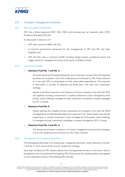

# 3.6 Company management practices

### 3.6.1 Risk and capital management

OPL has a Board approved RMF, RAS, RMS and business plan as required under APRA Prudential Standard CPS 220.

As discussed in Section 2.6.1:

- OPL has a common RMS with ZAL;
- A common governance framework for the management of OPL and ZAL has been adopted; and
- OPL and ZAL have a common ICAAP including Target Surplus confidence levels and trigger points for management action at the same confidence levels.

### 3.6.2 Investment strategy

- **Statutory Fund No. 1 and No. 3:** 
	- All assets backing Participating Business and Investment Account Non-Participating business are invested in line with underlying commitments to OPL Policy Owners or in line with OPL's interpretation of their reasonable expectations. This business is held within a number of separate sub-funds each with their own investment strategy.
	- Assets for all other business in this Statutory Fund are invested in line with the ZFSA risk appetite including investments in pooled investment trusts managed by third parties, direct holdings managed through investment mandates or assets managed by OPL in house.

# • **Statutory Fund No. 5:**

– Assets backing the Variable Annuity Guarantee are invested in line with the ZFSA risk appetite as the Shareholder bears the investment risk. These assets may include investments in pooled investment trusts managed by third parties, direct holdings or managed through investment mandates or assets managed by OPL in house.

# • **Statutory Fund No. 2 and No. 4:**

– The Assets are primarily invested in unit trusts managed by external fund managers in line with underlying commitments to ZAL Policy Owners.

### 3.6.3 Management of Participating Business

The Participating Business is all ring-fenced, in separate sub-funds, within Statutory Fund No. 1 and No. 3. Each sub-fund has its own investment strategy.

Each year the Board of OPL obtains advice from the Appointed Actuary on the bonus rates to be applied to the Conventional Participating OPL Policies and the crediting rates to be applied to the Investment Account Participating OPL Policies.

KPMG | 19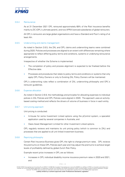

### 3.6.4 Reinsurance

As at 31 December 2021 OPL reinsured approximately 68% of the Risk Insurance benefits mainly to ZIC (OPL's ultimate parent), and two APRA licenced subsidiaries of global reinsurers.

All OPL's reinsurers are large global organisations and have a Standard and Poor's rating of at least AA-.

# 3.6.5 Underwriting and claims management

As noted in Section 2.6.5, the ZAL and OPL claims and underwriting teams were combined during 2020. Policies and processes are aligned to an extent with differences remaining where appropriate to reflect differing policy terms and conditions, systems or underlying reinsurance arrangements.

Irrespective of whether the Scheme is implemented:

- The completion of policy and process alignment is expected to be finalised before the Effective date.
- Processes and procedures that relate to policy terms and conditions or systems that only apply OPL Policy Owners or only to Existing ZAL Policy Owners will be maintained.

OPL's underwriting rules reflect a combination of ZAL underwriting philosophy and OPL's reinsurer guidelines.

### 3.6.6 Expense allocation

As noted in Section 2.6.6, the methodology and principles for allocating expenses to individual polices in ZAL Policies and OPL Policies were aligned in 2020. The approach uses an activitybased costing method and reflects the drivers of volume of business in force in each entity.

### 3.6.7 Unit pricing approach

Unit pricing is conducted:

- In-house for some Investment Linked options using the pControl system, a specialist application used by several companies in Australia; and
- Oasis Asset Management Limited for other Investment Linked options.

OPL regularly reviews and maintains its unit pricing policy (which is common to ZAL) and processes that are applied to all unit linked investment business.

### 3.6.8 Repricing philosophy

Certain Risk Insurance Business gives OPL the right to change premium rates. OPL reviews the premiums on these OPL Policies each year and may adjust the premiums to achieve target levels of profitability defined by global Zurich Risk Policy.

Example recent price increases in OPL are as follows:

• Increases in OPL individual disability income insurance premium rates in 2020 and 2021; and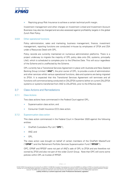

Repricing group Risk Insurance to achieve a certain technical profit margin.

Investment management and other charges on Investment Linked and Investment Account Business may also be changed and are also assessed against profitability targets in the global Zurich Risk Policy.

# 3.6.9 Other operational functions

Policy administration, sales and marketing, business management, finance, investment management, reporting functions are conducted in-house by employees of ZFSA and ZSA under a Resources Deed with OPL.

Policy records are currently maintained on numerous administration platforms. There is a project underway to migrate the majority of OPL policy data onto ZAL systems, principally Life3, which is scheduled to complete prior to the Effective Date. This will occur regardless of the Scheme and is unaffected by the Scheme.

OPL currently has a Transitional Services Agreement in place with Australia and New Zealand Banking Group Limited ("**ANZ"**), the prior owner of OPL, to provide a suite of administration and other services whilst various operational functions, data and systems are being migrated to ZFSA. It is expected that this Transitional Services Agreement will terminate and all functions will commence being conducted on ZAL/ZFSA systems (either on current ZAL/ZFSA systems or systems transferred from ANZ to ZAL/ZFSA), prior to the Effective date.

# 3.7 Class Actions and Remediations

### 3.7.1 Class Actions

Two class actions have commenced in the Federal Court against OPL;

- Superannuation class action; and
- Consumer Credit Insurance (CCI) class action.

### 3.7.2 Superannuation class action

This class action commenced in the Federal Court in December 2020 against the following entities:

- OnePath Custodians Pty Ltd ("**OPC**"),
- ANZ; and
- OPL.

The class action was brought on behalf of certain members of the OnePath MasterFund ("**OPMF**") and the Retirement Portfolio Services Superannuation Fund ("**RPSSF**").

OPC, OPMF and RPSSF were not part of ANZ's sale of OPL to ZFSA and are therefore not owned by ZFSA and also not part of the wider Zurich Group. Note that OPC still owns some policies within OPL as trustee of RPSSF.

<sup>© 2022</sup> KPMG Financial Services Consulting Pty Ltd ABN 91 144 686 046, Australian Financial Services Licence No.392050 is an affiliate of KPMG, an Australian partnership and a member firm of the KPMG global organisation of independent member firms affiliated with KPMG International Limited, a private English company limited by quarantee. All rights reserved. The KPMG name and logo are trademarks used under license by the independent member firms of the KPMG global organisation. Liability limited by a scheme approved under Professional Standards Legislation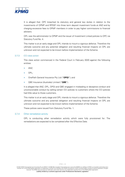

It is alleged that: OPC breached its statutory and general law duties in relation to the investments of OPMF and RPSSF into three term deposit investment funds at ANZ and by charging excessive fees to OPMF members in order to pay higher commissions to financial advisers.

OPL was the administrator to OPMF and the issuer of Investment Linked policies to OPC via Statutory Fund No. 4.

This matter is at an early stage and OPL intends to mount a vigorous defence. Therefore the ultimate outcome and any potential obligation and resulting financial impacts on OPL are unknown and not expected to be known before implementation of the Scheme.

### 3.7.3 CCI class action

This class action commenced in the Federal Court in February 2020 against the following entities:

- ANZ;
- OPL;
- OnePath General Insurance Pty Ltd ("**OPGI**"); and
- QBE Insurance (Australia) Limited ("**QBE**").

It is alleged that ANZ, OPL, OPGI and QBE engaged in misleading or deceptive conduct and unconscionable conduct by selling certain CCI policies to customers where the CCI policies had little value to those customers.

This matter is at an early stage and OPL intends to mount a vigorous defence. Therefore the ultimate outcome and any potential obligation and resulting financial impacts on OPL are unknown and not expected to be known before implementation of the Scheme.

These polices were issued from Statutory Fund No. 1.

### 3.7.4 Other remediation activity

OPL is conducting other remediation activity which were fully provisioned for. The remediations are expected to be completed after the Effective Date.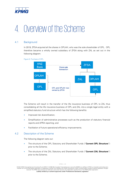

# <span id="page-28-0"></span>4. Overview of the Scheme

# 4.1 Background

In 2019, ZFSA acquired all the shares in OPLAH, who was the sole shareholder of OPL. OPL therefore became a wholly owned subsidiary of ZFSA along with ZAL as set out in the following diagram:



The Scheme will result in the transfer of the life insurance business of OPL to ZAL thus consolidating all the life insurance business of OPL and ZAL into a single legal entity with a simplified statutory fund structure which has the following benefits:

- Improved risk diversification:
- Simplification of administrative processes such as the production of statutory financial reports and APRA reporting; and
- Facilitation of future operational efficiency improvements.

# 4.2 Description of the Scheme

The following diagram sets out:

- The structure of the OPL Statutory and Shareholder Funds ("**Current OPL Structure**") prior to the Scheme;
- The structure of the ZAL Statutory and Shareholder Funds ("**Current ZAL Structure**") prior to the Scheme;

<sup>© 2022</sup> KPMG Financial Services Consulting Pty Ltd ABN 91 144 686 046, Australian Financial Services Licence No.392050 is an affiliate of KPMG, an Australian partnership and a member firm of the KPMG global organisation of independent member firms affiliated with KPMG International Limited, a private English company limited by guarantee. All rights reserved. The KPMG name and logo are trademarks used under license by the independent member firms of the KPMG global organisation. Liability limited by a scheme approved under Professional Standards Legislation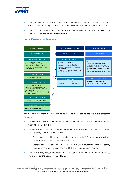

- The transfers of the various types of life insurance policies and related assets and liabilities that will take place as at the Effective Date of the Scheme (black arrows); and
- The structure of the ZAL Statutory and Shareholder Funds as at the Effective Date of the Scheme ("**ZAL Structure under Scheme**").



Figure 6: ZAL structure under the Scheme.

The Scheme will entail the following as at the Effective Date as set out in the preceding diagram:

- All assets and liabilities in the Shareholder Fund of OPL will be transferred to the Shareholder Fund of ZAL.
- All OPL Policies, assets and liabilities in OPL Statutory Funds No. 1 will be transferred to ZAL Statutory Fund No. 2, except for:
	- The contingent liability which may arise in respect of the CCI class action, which will be transferred to the ZAL Shareholders Fund.
	- Shareholder assets of \$12m which will remain in OPL Statutory Fund No. 1 to satisfy the prudential capital requirements of OPL after the proposed transfer.
- All OPL Policies, assets and liabilities in OPL Statutory Funds No. 3 and No. 5 will be transferred to ZAL Statutory Fund No. 2.

KPMG | 24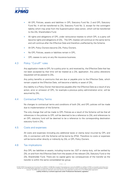

- All OPL Policies, assets and liabilities in OPL Statutory Fund No. 2 and OPL Statutory Fund No. 4 will be transferred to ZAL Statutory Fund No. 3, except for the contingent liability which may arise from the Superannuation class action, which will be transferred to the ZAL Shareholders Fund.
- All rights and obligations of OPL under reinsurance treaties to which OPL is a party will become rights and obligations of ZAL. The OPL treaties will continue on the same terms and will continue after the Effective Date and therefore unaffected by the Scheme.
- All OPL Policy Owners become ZAL Policy Owners.
- No OPL Policies, assets or liabilities remain in OPL.
- OPL ceases to carry on any life insurance business.

# 4.3 Policy "Cut-off" rules

Any application made to OPL for a policy prior to, and received by, the Effective Date that has not been accepted by that time will be treated as a ZAL application. Any policy alterations requested will be passed to ZAL.

Any policy benefits or premiums that are due or payable prior to the Effective Date, which remain unpaid at the Effective Date, will become a liability or asset of ZAL.

Any liability to a Policy Owner that becomes payable after the Effective Date as a result of any action, error or omission of OPL, for example a previous policy administration error, will be assumed by ZAL.

# 4.4 Contractual Policy Terms

No changes to contractual terms and conditions of both ZAL and OPL policies will be made due to implementation of the Scheme.

The only change that will be made to OPL Policies as a result of the Scheme will be that all references in the policies to OPL will be deemed to be a reference to ZAL and references to an OPL statutory fund will be deemed to be a reference to the corresponding destination statutory fund in ZAL.

# 4.5 Costs and expenses

All costs and expenses (including any additional taxes or stamp duty) incurred by OPL and ZAL in connection with the Scheme will be borne by ZFSA. Therefore no costs or expenses will be borne either directly or indirectly by ZAL or OPL Policy Owners.

# 4.6 Tax implications

Any OPL tax liabilities or assets, including income tax, GST or stamp duty, will be settled by ZAL on and from the Effective Date from the assets of the relevant ZAL Statutory Fund or the ZAL Shareholder Fund. There are no capital gains tax consequences of the transfer as the transfer is within the same consolidated tax group.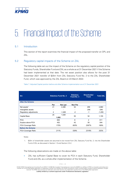

# <span id="page-31-0"></span>5. Financial Impact of the Scheme

# 5.1 Introduction

This section of the report examines the financial impact of the proposed transfer on OPL and ZAL.

# 5.2 Regulatory capital impacts of the Scheme on ZAL

The following table set out the impact of the Scheme on the regulatory capital position of the Statutory Funds, Shareholder Fund and ZAL as a whole as at 31 December 2021 if the Scheme had been implemented at that date. The net asset position also allows for the post 31 December 2021 transfer of \$25m from ZAL Statutory Fund No. 2 to the ZAL Shareholder Fund, which was approved by the ZAL Board on 23 March 2022.

Table 7: Adjusted Capital position before and after Scheme implementation as at 31 December 2021

| $\mathsf{sm}$            | <b>Statutory Fund No. 2</b> |          | <b>Statutory</b><br>Fund No. 3 | <b>Shareholder</b><br><b>Fund</b> | <b>Total ZAL</b> |  |
|--------------------------|-----------------------------|----------|--------------------------------|-----------------------------------|------------------|--|
| <b>After the Scheme</b>  |                             |          |                                |                                   |                  |  |
|                          | Par                         | Non par  | Non Par                        |                                   |                  |  |
| Net assets <sup>1</sup>  | 21                          | 2,488    | 52                             | 299                               | 2,860            |  |
| Intangibles assets       | ۰                           |          | $\overline{\phantom{0}}$       | $-246$                            | $-246$           |  |
| Regulatory adjustments   | 4                           | $-1,460$ | $-2$                           | $-1$                              | $-1,459$         |  |
|                          | 25                          | 1,028    | 50                             | 52                                |                  |  |
| <b>Capital Base</b>      |                             | 1,052    |                                |                                   | 1,155            |  |
| <b>PCA</b>               |                             | 600      | 8                              | 2                                 | 611              |  |
| Surplus above PCA        |                             | 452      | 42                             | 50                                | 544              |  |
| PCA Coverage Ratio       | 175%                        |          | 605%                           | 2367%                             | 189%             |  |
| <b>Before the Scheme</b> |                             |          |                                |                                   |                  |  |
| PCA Coverage Ratio       | 211%                        |          | 539%                           | 2318%                             | 252%             |  |

Notes

1. \$25m of shareholder assets are assumed to be moved from ZAL Statutory Fund No. 2. into the Shareholder Fund of ZAL as discussed in Section 1.5 and Section 2.5.2.

The following observations are made on the above table:

• ZAL has sufficient Capital Base to cover its PCA in each Statutory Fund, Shareholder Fund and ZAL as a whole after implementation of the Scheme.

<sup>© 2022</sup> KPMG Financial Services Consulting Pty Ltd ABN 91 144 686 046, Australian Financial Services Licence No.392050 is an affiliate of KPMG, an Australian partnership and a member firm of the KPMG global organisation of independent member firms affiliated with KPMG International Limited, a private English company limited by guarantee. All rights reserved. The KPMG name and logo are trademarks used under license by the independent member firms of the KPMG global organisation. Liability limited by a scheme approved under Professional Standards Legislation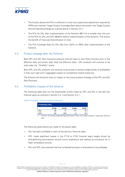

- The Surplus above the PCA is sufficient to cover any supervisory adjustment required by APRA and maintain Target Surplus Coverage Ratio above the bottom the Target Surplus Normal Operating Range as outlined above in Section 2.5.1.
- The PCA for ZAL after implementation of the Scheme (\$611m) is smaller than the sum of the PCA for ZAL and OPL (\$640m) before implementation of the Scheme. This shows the benefit of improved diversification of risks.
- The PCA Coverage Ratio for ZAL falls from 252% to 189% after implementation of the Scheme.

# 5.3 Product strategy after the Scheme

Both OPL and ZAL Risk Insurance products that are open to new Policy Owners prior to the effective date will remain open after the Effective Date. OPL products will continue to be sold under the "OnePath" brand.

Both OPL and ZAL products will continue to be priced to achieve target levels of profitability in their own right and in aggregate subject to competitive market pressures.

The Scheme will therefore have no impact on the future product strategy of the OPL and ZAL Risk Business.

# 5.4 Profitability impacts of the Scheme

The following table sets out the shareholder profits made by OPL and ZAL in the last four financial years as outlined in Section 2.4.1 and Section 3.4.1:

| Profitability (\$m) |             |             |             |             |  |
|---------------------|-------------|-------------|-------------|-------------|--|
|                     | <b>FY18</b> | <b>FY19</b> | <b>FY20</b> | <b>FY21</b> |  |
| <b>ZAL</b>          | 95          | 71          | 111         | 76          |  |
| OPI <sup>1</sup>    | -60         | $-420$      | -8          | 45          |  |

Table 8: Profitability, 12 month ending 31-December

1. FY18 is 12 months ended 30 Sep 2018 and FY19 is 15 months ended 31 December 2019 for OPL

The following observations are made on the above table:

- ZAL has been profitable in each of the last four financial years.
- OPL made significant losses in the FY18 to FY20 financial years largely driven by strengthening assumptions around future experience and setting up provisions for in flight remediation activity.
- ZAL and OPL have advised that the combined business is forecasted to be profitable.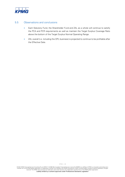

# 5.5 Observations and conclusions

- Each Statutory Fund, the Shareholder Fund and ZAL as a whole will continue to satisfy the PCA and PCR requirements as well as maintain the Target Surplus Coverage Ratio above the bottom of the Target Surplus Normal Operating Range.
- ZAL overall (i.e. including the OPL business) is projected to continue to be profitable after the Effective Date.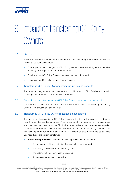

# <span id="page-34-0"></span>6. Impact on transferring OPL Policy **Owners**

# 6.1 Overview

In order to assess the impact of the Scheme on the transferring OPL Policy Owners the following has been considered:

- The impact of any changes to OPL Policy Owners' contractual rights and benefits resulting from implementation of the Scheme;
- The impact on OPL Policy Owners' reasonable expectations; and
- The impact on OPL Policy Owner benefit security.

# 6.2 Transferring OPL Policy Owner contractual rights and benefits

The existing charging structures, terms and conditions of all OPL Policies will remain unchanged and therefore unaffected by the Scheme.

# 6.2.1 Conclusion in respect of transferring OPL Policy Owner contractual rights and benefits

It is therefore concluded that the Scheme will have no impact on transferring OPL Policy Owners' contractual rights and benefits.

# 6.3 Transferring OPL Policy Owner reasonable expectations

The fundamental expectation of OPL Policy Owners is that they will receive their contractual benefits when they are due regardless of the implementation of the Scheme. However, there are aspects of the operation of the OPL Policies that involve some discretion being applied historically and therefore have an impact on the expectations of OPL Policy Owners. The Business Types written by OPL and key areas of discretion that may be applied to these Business Types are set out as follows:

- **Participating Business:** Discretion may be applied by OPL in respect of:
	- The investment of the assets (i.e. the asset allocations adopted);
	- The setting of bonuses and/or crediting rates;
	- The determination of surrender values; and
	- Allocation of expenses to the policies.

<sup>© 2022</sup> KPMG Financial Services Consulting Pty Ltd ABN 91 144 686 046, Australian Financial Services Licence No.392050 is an affiliate of KPMG, an Australian partnership and a member firm of the KPMG global organisation of independent member firms affiliated with KPMG International Limited, a private English company limited by guarantee. All rights reserved. The KPMG name and logo are trademarks used under license by the independent member firms of the KPMG global organisation. Liability limited by a scheme approved under Professional Standards Legislation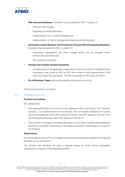

- **Risk Insurance Business:** Discretion may be applied by OPL in respect of:
	- Premium rate changes:
	- Upgrading of benefit definitions:
	- Underwriting of sum insured increases; and
	- Implementation of claims management practices and philosophies.
- **Investment Linked Business and Investment Account Non-Participating Business:** Discretion may be applied by OPL in respect of:
	- Investment management and other charges which may be changed where contractually permitted; and
	- The investment of assets.
- **Annuity and Variable Annuity Guarantee**:
	- Limited scope for the application of discretions. Note that under the Variable Annuity Guarantee a fee is paid to OPL by OPC (the trustee of the Superannuation Fund which purchased the guarantee). The fee is reviewed by OPL every five years.
- **For all Business Types:** policy administration and customer service.

These are discussed in turn below.

# 6.3.1 Participating Business

# **Practices and policies**

ZAL advised that:

- Participating Business will continue to be ringfenced within sub-funds in ZAL Statutory Fund No. 2 on implementation of the Scheme. This will involve replicating the current sub-funds established within OPL Statutory Fund No.1 and OPL Statutory Fund No. 3 for the Participating Business within ZAL Statutory Fund No. 2.
- There will be no change to the asset allocations, bonus and/or crediting rate declaration practices or surrender value bases or the expense allocation methodology as a result of the Scheme.

# **Observations**

As outlined above there will be no changes to the practices and policies related to Participating Business due to the Scheme.

The Scheme will therefore not have a material impact on Policy Owner reasonable expectations in respect of Participating Business.

<sup>© 2022</sup> KPMG Financial Services Consulting Pty Ltd ABN 91 144 686 046, Australian Financial Services Licence No.392050 is an affiliate of KPMG, an Australian partnership and a member firm of the KPMG global organisation of independent member firms affiliated with KPMG International Limited, a private English company limited by quarantee. All rights reserved. The KPMG name and logo are trademarks used under license by the independent member firms of the KPMG global organisation. Liability limited by a scheme approved under Professional Standards Legislation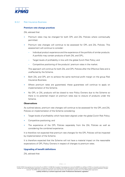

# 6.3.2 Risk Insurance Business

### **Premium rate change practices**

ZAL advised that:

- Premium rates may be changed for both OPL and ZAL Policies where contractually permitted.
- Premium rate changes will continue to be assessed for OPL and ZAL Policies. This assessment will continue to consider:
	- Individual product experience and the experience of the portfolio of similar products. A portfolio may contain products of both ZAL and OPL;
	- Target levels of profitability in line with the global Zurich Risk Policy; and
	- Competitive positioning of the products' premium rates in the market.

This approach will continue for both ZAL and OPL Policies after the Effective Date and is unaffected by the Scheme.

- Both ZAL and OPL aim to achieve the same technical profit margin on the group Risk Insurance Business.
- Where premium rates are guaranteed, these guarantees will continue to apply on implementation of the Scheme.
- No OPL or ZAL products will be closed to new Policy Owners due to the Scheme so there is no potential impact on premium rates due to closure of products under the Scheme.

### **Observations**

As outlined above, premium rate changes will continue to be assessed for the OPL and ZAL Policies on implementation of the Scheme considering:

- Target levels of profitability which have been aligned under the global Zurich Risk Policy;
- Competitive positioning; and
- The experience of the OPL Policies separately from the ZAL Policies as well as considering the combined experience.

It is therefore not expected that premium rate changes for the OPL Policies will be impacted by implementation of the Scheme.

It is therefore expected that the Scheme will not have a material impact on the reasonable expectations of OPL Policy Owners in respect of changes to premium rates.

# **Upgrading of benefit definitions**

ZAL advised that: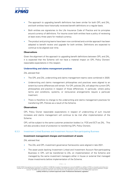

- The approach to upgrading benefit definitions has been similar for both OPL and ZAL, and both entities have historically reviewed benefit definitions on a regular basis.
- Both entities are signatories to the Life Insurance Code of Practice and its principles around currency of definitions. For trauma cover both entities have a policy of reviewing at least every three years for medical currency.
- The product and pricing teams have been now combined and a similar approach has been adopted to benefit review and upgrade for both entities. Definitions are expected to continue to be aligned over time.

### **Observations**

Given the alignment of the approach to upgrading benefit definitions between OPL and ZAL, it is expected that the Scheme will not have a material impact on OPL Policy Owners' reasonable expectations in this respect.

### **Underwriting and claims management practices**

ZAL advised that:

- The OPL and ZAL underwriting and claims management teams were combined in 2020.
- Underwriting and claims management philosophies and practices were aligned to an extent but some differences still remain. For OPL policies ZAL will adopt the current OPL philosophies and practice in respect of those differences. In particular, where policy terms and conditions, systems, or reinsurance arrangements require a particular treatment.
- There is therefore no change to the underwriting and claims management practices for transferring OPL Policies as a result of the Scheme.

# **Observations**

OPL Policy Owner reasonable expectations in respect of underwriting of sum insured increases and claims management will continue to be met after implementation of the Scheme.

OPL will be subject to the same customer protection bodies (i.e. FOS and SCT) as ZAL. This will also provide a level of protection to transferring OPL Policy Owners.

### 6.3.3 Investment Linked Business and Investment Account Non-participating Business

### **Investment management charges and investment of assets**

ZAL advised that:

- The ZAL and OPL investment governance frameworks were aligned in late 2021.
- The asset pools backing Investment Linked and Investment Account Non-participating Business in OPL will be transferred to ZAL on implementation of the Scheme and managed by the same investment managers either in house or external that managed those investments before implementation of the Scheme.

KPMG | 32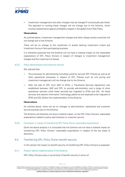

• Investment management and other charges may be changed if contractually permitted. The approach to revising these charges will not change due to the Scheme, which involves assessments against profitability targets in the global Zurich Risk Policy.

### **Observations**

As outlined above, investment management charges and other charge revision practices will not change due to the Scheme.

There will be no change to the investment of assets backing Investment Linked and Investment Account Non-participating business.

It is therefore expected that the Scheme will not have a material impact on the reasonable expectations of OPL Policy Owners in respect of changes to investment management charges and the investment of assets.

# 6.3.4 Policy administration and customer service

ZAL advised that:

- The processes for administering (including customer service) OPL Policies as well as all other operational processes in respect of OPL Policies such as unit pricing and investment management will not change due to the Scheme.
- After the sale of OPL from ANZ to ZFSA, a Transitional Services Agreement was established between ANZ and OPL to provide administration and a range of other operational services while these services are migrated to ZFSA and ZAL. All these services and relevant Information Technology platforms are expected to be migrated to ZFSA and ZAL before the implementation of the Scheme.

### **Observations**

As outlined above, there will be no changes to administration, operational and customer service practices due to the Scheme.

The Scheme will therefore not have a material impact on the OPL Policy Owners' reasonable expectations related to policy administration or customer service.

### 6.3.5 Conclusion in respect of transferring OPL Policy Owner reasonable expectations

Given the above analysis it is concluded that the Scheme will not have a material impact on transferring OPL Policy Owners' reasonable expectations in respect of the key areas of discretion,

# 6.4 Transferring OPL Policy Owner benefit security

In this section the impact on benefit security of transferring OPL Policy Owners is assessed.

### 6.4.1 Position before implementation of the Scheme

OPL Policy Owners enjoy a sound level of benefit security in terms of:

KPMG | 33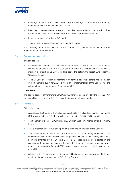

- Coverage of the PCA, PCR and Target Surplus Coverage Ratio within each Statutory Fund, Shareholder Fund and OPL as a whole;
- Relatively conservative asset strategy (cash and term deposits) for assets that back Risk Insurance Business where the shareholders of OPL bear the investment risk;
- Expected future profitability of OPL: and
- The potential for parental support from the Zurich Group.

The following Sections discuss the impact on OPL Policy Owner benefit security after implementation of the Scheme.

# 6.4.2 Regulatory capital position

ZAL advised that:

- As discussed in Section 5.2, ZAL will have sufficient Capital Base as at the Effective Date to cover its PCA and PCR in each Statutory Fund and Shareholder Fund as well as maintain a Target Surplus Coverage Ratio above the bottom the Target Surplus Normal Operating Range.
- The PCA Coverage Ratio improves from 163% for OPL as a whole before implementation of the Scheme to 189% for ZAL as a whole after implementation of the Scheme had the scheme been implemented at 31 December 2021.

# **Observation**

The benefit security of transferring OPL Policy Owners will be improved by the fact that PCA Coverage Ratio improves for OPL Policies after implementation of the Scheme.

# 6.4.3 Profitability

ZAL advised that:

- As discussed in Section 5.4, ZAL has been profitable in the last four financial years while OPL was profitable in FY21 but was loss making in the FY18 to FY20 periods.
- The Scheme will transfer OPL Policies to ZAL which has been a more profitable company than OPL.
- ZAL is expected to continue to be profitable after implementation of the Scheme.
- The overall expense base of ZAL is not expected to be adversely impacted by the implementation of the Scheme as most integration and rationalisation activity would have been implemented by the Effective Date. Some cost savings are expected in the Actuarial and Finance functions as the need to report on two sets of accounts and regulatory reporting (for ZAL and OPL) would no longer be required which may improve profitability.
- All costs of the Scheme implementation would be borne by the shareholders of ZAL and would not impact the transferring OPL Policy Owners.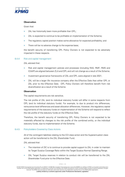

# **Observation**

Given that:

- ZAL has historically been more profitable than OPL;
- ZAL is expected to continue to be profitable on implementation of the Scheme;
- The regulatory capital position makes some allowance for expected profitability; and
- There will be no adverse change to the expense base;

the benefit security of transferring OPL Policy Owners is not expected to be adversely impacted in these respects.

# 6.4.4 Risk and capital management

ZAL advised that:

- Risk and capital management policies and processes (including RAS, RMF, RMS and ICAAP) are aligned between ZLA and OPL and will not change as a result of the Scheme.
- Investment governance frameworks of ZAL and OPL were aligned in late 2021.
- ZAL will be a larger life insurance company after the Effective Date than either OPL or ZAL prior to the Effective Date. OPL Policy Owners will therefore benefit from risk diversification as a result of the Scheme.

# **Observation**

The capital requirements are risk sensitive.

The risk profile of ZAL (and its individual statutory funds) will differ in some respects from OPL (and its individual statutory funds). For example, to due to product mix differences, reinsurance level differences and asset allocation differences. However, the regulatory capital requirements of the statutory funds on implementation of the Scheme will respond to reflect the risk profile of the statutory funds on the Effective Date.

Therefore, the benefit security of transferring OPL Policy Owners is not expected to be materially affected by changes to the risk profile of the combined entity, or the individual statutory funds, due to implementation of the Scheme.

# 6.4.5 Policyholders Covered by Class Actions

All of the contingent liabilities relating to the CCI class action and the Superannuation class action will be transferred to the ZAL Shareholder Fund.

ZAL advised that:

- The intention of ZIC is to continue to provide capital support to ZAL in order to maintain its Target Surplus Coverage Ratio within the Target Surplus Normal Operating Range.
- ZAL Target Surplus reserves in relation to conduct risk will be transferred to the ZAL Shareholder Fund prior to the Effective Date.

<sup>© 2022</sup> KPMG Financial Services Consulting Pty Ltd ABN 91 144 686 046, Australian Financial Services Licence No.392050 is an affiliate of KPMG, an Australian partnership and a member firm of the KPMG global organisation of independent member firms affiliated with KPMG International Limited, a private English company limited by guarantee. All rights reserved. The KPMG name and logo are trademarks used under license by the independent member firms of the KPMG global organisation. Liability limited by a scheme approved under Professional Standards Legislation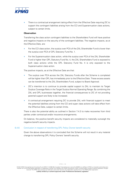

• There is a contractual arrangement taking effect from the Effective Date requiring ZIC to support the contingent liabilities arising from the CCI and Superannuation class actions, subject to certain limits.

### **Observation**

Transferring the class action contingent liabilities to the Shareholders Fund will have positive and negative impacts on the security of the contingent liabilities. The negative impacts, as at the Effective Date, are:

- For the CCI class action, the surplus over PCA of the ZAL Shareholder Fund is lower than the surplus over PCA of OPL Statutory Fund No. 1.
- For the Superannuation class action, while the surplus over PCA of the ZAL Shareholder Fund is higher than OPL Statutory Fund No. 4, the ZAL Shareholders Fund is exposed to both class actions while the OPL Statutory Fund No. 4 is only exposed to the Superannuation class action.

The positive impacts, as at the Effective Date are that:

- The surplus over PCA across the ZAL Statutory Funds after the Scheme is completed will be higher than OPL has immediately prior to the Effective Date. These excess assets can be transferred to the ZAL Shareholders Fund, subject to Board Approval.
- ZIC's intention is to continue to provide capital support to ZAL to maintain its Target Surplus Coverage Ratio in the Target Surplus Normal Operating Range. By combining the ZAL and OPL businesses together, the financial consequences to ZIC of not providing parental support are likely to be increased.
- A contractual arrangement requiring ZIC to provide ZAL with financial support to meet the potential liabilities arising from the CCI and super class actions will take effect from the Effective Date, subject to certain limits.

There is also the potential ability as outlined in Section 7.4.3 to make recoveries from third parties under contractual and/or insurance arrangements.

On balance, the positive benefit security impacts are considered to materially outweigh the negative benefit security impacts.

# 6.4.6 Conclusion in respect of transferring OPL Policy Owner benefit security

Given the above observations it is concluded that the Scheme will not result in any material change to transferring OPL Policy Owners' benefit security.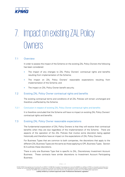

# <span id="page-42-0"></span>7. Impact on existing ZAL Policy **Owners**

# 7.1 Overview

In order to assess the impact of the Scheme on the existing ZAL Policy Owners the following has been considered:

- The impact of any changes to ZAL Policy Owners' contractual rights and benefits resulting from implementation of the Scheme;
- The impact on ZAL Policy Owners' reasonable expectations resulting from implementation of the Scheme; and
- The impact on ZAL Policy Owner benefit security.

# 7.2 Existing ZAL Policy Owner contractual rights and benefits

The existing contractual terms and conditions of all ZAL Policies will remain unchanged and therefore unaffected by the Scheme.

### 7.2.1 Conclusion in respect of existing ZAL Policy Owner contractual rights and benefits

It is therefore concluded that the Scheme will have no impact on existing ZAL Policy Owners' contractual rights and benefits.

# 7.3 Existing ZAL Policy Owner reasonable expectations

The fundamental expectation of ZAL Policy Owners is that they will receive their contractual benefits when they are due regardless of the implementation of the Scheme. There are aspects of the operation of the ZAL Policies that involve some discretion being applied historically and therefore have an impact on the expectations of ZAL Policy Owners.

For Business Types that are common to both companies, the discretions that apply to the different ZAL Business Types are the same as those applying to OPL Business Types. Section 6.3 outlines these discretions.

There is only one Business Type that is specific to ZAL, Discretionary Investment Account Business. These contracts have similar discretions to Investment Account Participating Business.

KPMG | 37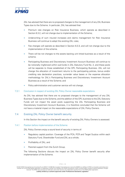

ZAL has advised that there are no proposed changes to the management of any ZAL Business Types due to the Scheme. In particular, ZAL has advised that:

- Premium rate changes on Risk Insurance Business, which operate as described in Section 6.3.2, will not change due to implementation of the Scheme;
- Underwriting of sum insured increases and claims management for Risk Insurance Business will continue to adopt the existing ZAL rules;
- Fee changes will operate as described in Section 6.3.3, and will not change due to the implementation of the scheme.
- There will be not changes to the assets backing unit linked business as a result of the scheme.
- Participating Business and Discretionary Investment Account Business will continue to be notionally ringfenced within sub-funds in ZAL Statutory Fund No. 2, and these pools will be separate to those established of the OPL Participating Business. ZAL will not change the allocation of investment returns to the participating policies, bonus and/or crediting rate declaration practices, surrender value bases or the expense allocation methodology for ZAL's Participating Business and Discretionary Investment Account Business as a result of the Scheme; and
- Policy administration and customer service will not change.

# 7.3.1 Conclusion in respect of existing ZAL Policy Owner reasonable expectations

As ZAL has advised that there are no proposed changes to the management of any ZAL Business Types due to the Scheme, and the addition of the OPL business to the ZAL Statutory Funds will not impact the asset pools supporting the ZAL Participating Business and Discretionary Investment Account Business, it is therefore concluded that the Scheme will not have a material impact on the reasonable expectations of ZAL Policy Owners.

# 7.4 Existing ZAL Policy Owner benefit security

In this Section the impact on the benefit security of existing ZAL Policy Owners is assessed.

### 7.4.1 Position before implementation of the Scheme

ZAL Policy Owners enjoy a sound level of security in terms of:

- Regulatory capital position: Coverage of the PCA, PCR and Target Surplus within each Statutory Fund, Shareholder Fund and ZAL as a whole;
- Profitability of ZAL; and
- Parental support from the Zurich Group.

The following Sections discuss the impact on ZAL Policy Owner benefit security after implementation of the Scheme.

<sup>© 2022</sup> KPMG Financial Services Consulting Pty Ltd ABN 91 144 686 046, Australian Financial Services Licence No.392050 is an affiliate of KPMG, an Australian partnership and a member firm of the KPMG global organisation of independent member firms affiliated with KPMG International Limited, a private English company limited by quarantee. All rights reserved. The KPMG name and logo are trademarks used under license by the independent member firms of the KPMG global organisation. Liability limited by a scheme approved under Professional Standards Legislation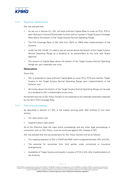

# 7.4.2 Regulatory capital position

ZAL has advised that:

- As set out in Section 5.2, ZAL will have sufficient Capital Base to cover its PCA, PCR in each Statutory Fund and Shareholder Fund as well as maintain a Target Surplus Coverage Ratio above the bottom of the Target Surplus Normal Operating Range.
- The PCA Coverage Ratio of ZAL falls from 252% to 189% after implementation of the Scheme.
- Under the ZAL ICAAP, it is able to pay all monies above the bottom of the Target Surplus Normal Operating Range as a dividend to its shareholders at any time with Board approval.
- The amount of Capital Base above the bottom of the Target Surplus Normal Operating Range can vary materially over time.

# **Observations**

Given that:

- ZAL is expected to have sufficient Capital Base to cover PCA, PCR and maintain Target Surplus in the Target Surplus Normal Operating Range upon implementation of the Scheme; and
- All money above the bottom of the Target Surplus Normal Operating Range can be paid as a dividend to ZAL's shareholders at any time;

the benefit security of ZAL Policy Owners is not expected to be materially adversely impacted by the fall in PCA Coverage Ratio.

# 7.4.3 Class action proceedings

As described in Section 3.7 OPL is the subject (among other ANZ entities) of two class actions:

- CCI class action; and
- Superannuation class action.

As at the Effective Date the class action proceedings and any other legal proceedings in connection with an OPL Policy, must be continued against ZAL instead of OPL.

ZAL has advised that the key protections for ZAL Policy Owners will be as follows:

- The ongoing operation of ZAL's ICAAP and RMF which is aligned between OPL and ZAL;
- The potential for recoveries from third parties under contractual or insurance arrangements;
- Availability of Target Surplus and assets in excess of PCA in ZAL after implementation of the Scheme;

<sup>© 2022</sup> KPMG Financial Services Consulting Pty Ltd ABN 91 144 686 046, Australian Financial Services Licence No.392050 is an affiliate of KPMG, an Australian partnership and a member firm of the KPMG global organisation of independent member firms affiliated with KPMG International Limited, a private English company limited by quarantee. All rights reserved. The KPMG name and logo are trademarks used under license by the independent member firms of the KPMG global organisation. Liability limited by a scheme approved under Professional Standards Legislation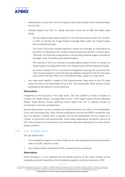

- Allowance for conduct risk within the Target Surplus which will be held in the Shareholder Fund of ZAL;
- Parental support from ZIC (i.e. capital injections), which has an S&P AA stable credit rating:
	- ZIC has made multiple capital injections in the last three years to both OPL and ZAL in order to maintain the Target Surplus Coverage Ratio within the Target Surplus Normal Operating Range.
	- The Zurich Group has invested significant money into Australia, as indicated by its acquisition of Macquarie Life Limited's insurance business and OPL in recent years. Therefore, the financial consequences of not providing parental support are likely to outweigh costs of providing the parental support.
	- The intention of ZIC is to continue to provide capital support to ZAL to maintain its Target Surplus Coverage Ratio within the Target Surplus Normal Operating Range.
	- As noted in Section 6.4.5, a contractual arrangement requiring ZIC to provide ZAL with financial support to meet the potential liabilities arising from the CCI and super class actions will take effect from the Effective Date, subject to certain limits.
- Any class action liability in respect of the Superannuation class action or the CCI class action will arise in the Shareholder Fund of ZAL. The existing ZAL Policy Owners will be protected by the Statutory Fund protections.

# **Observations**

Irrespective of the outcome of the class action, ZAL has outlined a number of actions to maintain the Target Surplus Coverage Ratio of ZAL in the Target Surplus Normal Operating Range. These actions include obtaining further capital from ZIC or seeking remedy via contractual or insurance arrangements.

Should these actions not be successful the capital deficiency will arise in the Shareholders Fund, with the existing ZAL Policy Owners protected by the Act and APRA's prudential rules (e.g. the transfer of assets from a statutory fund to the Shareholder Fund is subject to a number of restrictions and requirements). Given these observations the benefit security of ZAL Policy Owners is not expected to be materially adversely impacted by the class actions being successful.

### 7.4.4 Other remediation activity

ZAL has advised that:

- The remediation programs currently underway are fully supported by existing provisions held in the OPL Statutory Funds.
- Any residual liability transferred to ZAL is expected to be immaterial.

### **Observations**

Given the above, it is not expected that the benefit security of ZAL Policy Owners will be materially adversely impacted by the remediation programs currently underway in OPL.

KPMG | 40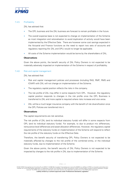

# 7.4.5 Profitability

ZAL has advised that:

- The OPL business and the ZAL business are forecast to remain profitable in the future.
- The overall expense base is not expected to change on implementation of the Scheme as most integration and rationalisation to avoid duplication of activity would have been implemented by the Effective Date. There are however some cost savings expected in the Actuarial and Finance functions as the need to report two sets of accounts and regulatory reporting (for ZAL and OPL) would no longer be applicable.
- All costs of the Scheme implementation would be borne by the shareholders of ZAL.

# **Observations**

Given the above points, the benefit security of ZAL Policy Owners is not expected to be materially adversely impacted on implementation of the Scheme in respect of profitability.

# 7.4.6 Risk and capital management

ZAL has advised that:

- Risk and capital management policies and processes (including RAS, RMF, RMS and ICAAP) with ZAL will not change on implementation of the Scheme.
- The regulatory capital position reflects the risks in the company.
- The risk profile of ZAL may differ in some respects from OPL. However, the regulatory capital position responds to changes in the risk profile once the OPL Business is transferred to ZAL and more capital is required where risks increase and vice versa.
- ZAL will be a much larger insurance company with the benefit of risk diversification once the OPL Policies are transferred into it.

# **Observations**

The capital requirements are risk sensitive.

The risk profile of ZAL (and its individual statutory funds) will differ in some respects from OPL (and its individual statutory funds). For example, to due to product mix differences, reinsurance level differences and asset allocation differences. However, the regulatory capital requirements of the statutory funds on implementation of the Scheme will respond to reflect the risk profile of the statutory funds on the Effective Date.

Therefore, the benefit security of transferring OPL Policy Owners is not expected to be materially affected by changes to the risk profile of the combined entity, or the individual statutory funds, due to implementation of the Scheme.

Given the above points, the benefit security of ZAL Policy Owners is not expected to be impacted by changes to the risk profile in ZAL due to implementation of the Scheme.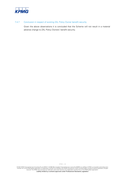

# 7.4.7 Conclusion in respect of existing ZAL Policy Owner benefit security

Given the above observations it is concluded that the Scheme will not result in a material adverse change to ZAL Policy Owners' benefit security.

© 2022 KPMG Financial Services Consulting Pty Ltd ABN 91 144 686 046, Australian Financial Services Licence No.392050 is an affiliate of KPMG, an Australian partnership and a<br>member firm of the KPMG global organisation of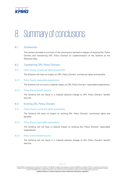

# <span id="page-48-0"></span>8. Summary of conclusions

# 8.1 Introduction

This section provides a summary of the conclusions reached in respect of existing ZAL Policy Owners and transferring OPL Policy Owners on implementation of the Scheme at the Effective Date.

# 8.2 Transferring OPL Policy Owners

# 8.2.1 Policy Owner contractual rights and benefits

The Scheme will have no impact on OPL Policy Owners' contractual rights and benefits.

### 8.2.2 Policy Owner reasonable expectations

The Scheme will not have a material impact on OPL Policy Owners' reasonable expectations.

### 8.2.3 Policy Owner benefit security

The Scheme will not result in a material adverse change to OPL Policy Owners' benefit security.

# 8.3 Existing ZAL Policy Owners

# 8.3.1 Policy Owner contractual rights and benefits

The Scheme will have no impact on existing ZAL Policy Owners' contractual rights and benefits.

### 8.3.2 Policy Owner reasonable expectations

The Scheme will not have a material impact on existing ZAL Policy Owners' reasonable expectations.

### 8.3.3 Policy Owner benefit security

The Scheme will not result in a material adverse change to ZAL Policy Owners' benefit security.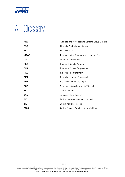

# <span id="page-49-0"></span>A Glossary

| <b>ANZ</b>   | Australia and New Zealand Banking Group Limited |
|--------------|-------------------------------------------------|
| <b>FOS</b>   | Financial Ombudsman Service                     |
| <b>FY</b>    | Financial year                                  |
| <b>ICAAP</b> | Internal Capital Adequacy Assessment Process    |
| <b>OPL</b>   | OnePath Lime Limited                            |
| <b>PCA</b>   | <b>Prudential Capital Amount</b>                |
| <b>PCR</b>   | <b>Prudential Capital Requirement</b>           |
| <b>RAS</b>   | <b>Risk Appetite Statement</b>                  |
| <b>RMF</b>   | Risk Management Framework                       |
| <b>RMS</b>   | <b>Risk Management Strategy</b>                 |
| <b>SCT</b>   | Superannuation Complaints Tribunal              |
| SF           | <b>Statutory Fund</b>                           |
| <b>ZAL</b>   | Zurich Australia Limited                        |
| <b>ZIC</b>   | Zurich Insurance Company Limited                |
| <b>ZIG</b>   | Zurich Insurance Group                          |
| <b>ZFSA</b>  | Zurich Financial Services Australia Limited     |

© 2022 KPMG Financial Services Consulting Pty Ltd ABN 91 144 686 046, Australian Financial Services Licence No.392050 is an affiliate of KPMG, an Australian partnership and a<br>member firm of the KPMG global organisation of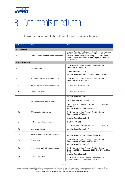

# <span id="page-50-0"></span>B Documents relied upon

This Appendix summarises the key data and information relied on for this report.

| <b>Reference</b>   | <b>Item</b>                              | <b>Data</b>                                                                                                                                                                                                                                              |
|--------------------|------------------------------------------|----------------------------------------------------------------------------------------------------------------------------------------------------------------------------------------------------------------------------------------------------------|
| 1.Introduction     |                                          |                                                                                                                                                                                                                                                          |
| 1.2                | Policy Owners, Members and Beneficiaries | Actuarial Report on the Proposed Transfer of Life Insurance<br>Business from OnePath Life Limited (OPL) to Zurich<br>Australia Limited (ZAL)" by Ian Wong and Stuart Turner<br>dated 23 March 2022 (the Actuarial Report) Section 2.2<br>and Section 2.3 |
| 2. Overview of ZAL |                                          |                                                                                                                                                                                                                                                          |
| 2.1                | ZAL entity structure                     | Zurich Australia Limited Financial Condition Report<br>(December 2021) Part C1.1                                                                                                                                                                         |
|                    |                                          | ZFSA Annual Report 2020                                                                                                                                                                                                                                  |
|                    |                                          | Actuarial Report Section 3.2, Section 3.3 and Section 5.2                                                                                                                                                                                                |
| 2.2                | Statutory funds and Shareholder Fund     | Zurich Australia Limited Financial Condition Report<br>(December 2021) Section B.2                                                                                                                                                                       |
| 2.3                | Key metrics of life insurance business   | <b>Actuarial Report Section 3.2.4</b>                                                                                                                                                                                                                    |
| 2.4.1              | Recent profitability                     | <b>Actuarial Report Section 3.4</b>                                                                                                                                                                                                                      |
|                    |                                          | <b>Actuarial Report Section 3.5</b>                                                                                                                                                                                                                      |
| 2.5.1              | Regulatory capital requirements          | ZAL 2021 ICAAP Report Section 3.1                                                                                                                                                                                                                        |
|                    |                                          | ICAAP Summary Statement ZAL and OPL 23 Feb 2021<br>Section 4.6                                                                                                                                                                                           |
|                    |                                          | Actuarial Report Section 2.3, Section 3.5                                                                                                                                                                                                                |
| 2.5.2              | ZAL current capital position             | Zurich Australia Limited Financial Condition Report<br>(December 2021) (Part A6.1)                                                                                                                                                                       |
|                    |                                          | Actuarial Report Section 3.6.1                                                                                                                                                                                                                           |
| 2.6.1              | Risk and capital management              | ZAL/OPL RAS 2021                                                                                                                                                                                                                                         |
|                    |                                          | ICAAP Summary Statement ZAL and OPL 23 Feb 2021                                                                                                                                                                                                          |
| 2.6.2              | Investment strategy                      | Actuarial Report Section 3.6.3                                                                                                                                                                                                                           |
| 2.6.3              | Management of participating business     | Actuarial Report Section 3.6.2 and Section 3.6.3                                                                                                                                                                                                         |
| 2.6.4              | Reinsurance                              | Zurich Australia Limited Financial Condition Report<br>(December 2021) (Part C4 and Part D3)                                                                                                                                                             |
|                    |                                          | <b>Actuarial Report Section 3.6.2</b>                                                                                                                                                                                                                    |
| 2.6.5              | Underwriting and claims management       | Zurich Australia Limited Financial Condition Report<br>(December 2020 and December 2021) (Part C1.3 and Part<br>C1.4)                                                                                                                                    |
|                    |                                          | <b>Actuarial Report Section 5.10</b>                                                                                                                                                                                                                     |
| 2.6.6              | Expense allocation                       | Zurich Australia Limited Financial Condition Report<br>(December 2020 and December 2021) (Part C7.2)                                                                                                                                                     |

KPMG | 45

© 2022 KPMG Financial Services Consulting Pty Ltd ABN 91 144 686 046, Australian Financial Services Licence No.392050 is an affiliate of KPMG, an Australian partnership and a<br>member firm of the KPMG global organisation of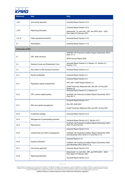

| <b>Reference</b>   | <b>Item</b>                            | <b>Data</b>                                                                              |  |  |
|--------------------|----------------------------------------|------------------------------------------------------------------------------------------|--|--|
|                    |                                        |                                                                                          |  |  |
| 2.6.7              | Unit pricing approach                  | Actuarial Report Section 3.6.2                                                           |  |  |
|                    |                                        |                                                                                          |  |  |
|                    |                                        | <b>Actuarial Report Section 3.6.2</b>                                                    |  |  |
| 2.6.8              | Repricing philosophy                   | Attachment 1 to Joint ZAL, OPL and OPGI 2021 - 2023                                      |  |  |
|                    |                                        | Plan dated 23 February 2021                                                              |  |  |
| 2.6.10             | Other operational functions            | Actuarial Report Section 3.6.2.                                                          |  |  |
|                    |                                        |                                                                                          |  |  |
| 2.7                | Remediation                            | <b>Actuarial Report Section 7.4.5</b>                                                    |  |  |
|                    |                                        |                                                                                          |  |  |
| 3. Overview of OPL |                                        |                                                                                          |  |  |
|                    |                                        | OnePath Life Financial Condition Report (December 2021)<br>(Part C1.1)                   |  |  |
| 3.1                | OPL entity structure                   |                                                                                          |  |  |
|                    |                                        | ZFSA Annual Report 2020                                                                  |  |  |
|                    |                                        | Actuarial Report Section 4.2, Section 4.3, Section 5.2,                                  |  |  |
| 3.2                | Statutory funds and Shareholder Fund   | Section 7.3.2                                                                            |  |  |
| 3.3                | Key metrics of life insurance business | Actuarial Report Section 4.2.7                                                           |  |  |
|                    |                                        |                                                                                          |  |  |
| 3.4.1              | Recent profitability                   | <b>Actuarial Report Section 4.4</b>                                                      |  |  |
|                    |                                        | <b>Actuarial Report Section 4.5</b>                                                      |  |  |
|                    |                                        |                                                                                          |  |  |
| 3.5.1              | Regulatory capital requirements        | OPL 2021 ICAAP Report Section 3.1                                                        |  |  |
|                    |                                        | ICAAP Summary Statement ZAL and OPL 23 Feb 2021<br>Section 4.6                           |  |  |
|                    |                                        | Actuarial Report Section 2.3, Section 4.5                                                |  |  |
| 3.5.2              | OPL current capital position           | OnePath Life Financial Condition Report (December 2021)                                  |  |  |
|                    |                                        | (Part A6.1)                                                                              |  |  |
|                    |                                        | <b>Actuarial Report Section 4.6.1</b>                                                    |  |  |
|                    | Risk and capital management            | ZAL/OPL RAS 2021                                                                         |  |  |
| 3.6.1              |                                        |                                                                                          |  |  |
|                    |                                        | ICAAP Summary Statement ZAL and OPL 23 Feb 2021                                          |  |  |
| 3.6.2              | Investment strategy                    | Actuarial Report Section 4.6.3                                                           |  |  |
|                    |                                        |                                                                                          |  |  |
| 3.6.3              | Management of participating business   | Actuarial Report Section 4.6.2, Section 4.6.3                                            |  |  |
|                    |                                        | OnePath Life Financial Condition Report (December 2021)                                  |  |  |
| 3.6.4              | Reinsurance                            | (Part C4 and Part D3)                                                                    |  |  |
|                    |                                        | Actuarial Report Section 4.6.2                                                           |  |  |
|                    |                                        | OnePath Life Financial Condition Report (December 2020                                   |  |  |
| 3.6.5              | Underwriting and claims management     | and December 2021) (Part C1.3 and Part C1.4)                                             |  |  |
|                    |                                        | Actuarial Report 5.10                                                                    |  |  |
| 3.6.6              | Expense allocation                     |                                                                                          |  |  |
|                    |                                        | OnePath Life Financial Condition Report (December 2020<br>and December 2021) (Part C7.2) |  |  |
| 3.6.7              |                                        | Actuarial Report Section 4.6.2                                                           |  |  |
|                    | Unit pricing approach                  |                                                                                          |  |  |
| 3.6.8              | Repricing philosophy                   | Attachment 1 to Joint ZAL, OPL and OPGI 2021 - 2023<br>Plan dated 23 February 2021       |  |  |
|                    |                                        |                                                                                          |  |  |
|                    |                                        | Actuarial Report Section 4.6.2                                                           |  |  |

KPMG | 46

© 2022 KPMG Financial Services Consulting Pty Ltd ABN 91 144 686 046, Australian Financial Services Licence No.392050 is an affiliate of KPMG, an Australian partnership and a<br>member firm of the KPMG global organisation of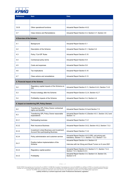

| <b>Reference</b>                            | ltem                                                                                          | <b>Data</b>                                                                                                      |  |  |
|---------------------------------------------|-----------------------------------------------------------------------------------------------|------------------------------------------------------------------------------------------------------------------|--|--|
|                                             |                                                                                               |                                                                                                                  |  |  |
| 3.6.9                                       | Other operational functions                                                                   | Actuarial Report Section 4.6.2                                                                                   |  |  |
| 3.7                                         | <b>Class Actions and Remediations</b>                                                         | Actuarial Report Section 4.4, Section 4.7, Section 4.8                                                           |  |  |
| 4. Overview of the Scheme                   |                                                                                               |                                                                                                                  |  |  |
| 4.1                                         | Background                                                                                    | <b>Actuarial Report Section 5.1</b>                                                                              |  |  |
| 4.2                                         | Description of the Scheme                                                                     | Actuarial Report Section 5.1, Section 5.2                                                                        |  |  |
| 4.3                                         | Policy "Cut-Off" Rules                                                                        | Actuarial Report Section 5.10                                                                                    |  |  |
| 4.4                                         | Contractual policy terms                                                                      | <b>Actuarial Report Section 5.9</b>                                                                              |  |  |
| 4.5                                         | Costs and expenses                                                                            | <b>Actuarial Report Section 5.8</b>                                                                              |  |  |
| 4.6                                         | Tax implications                                                                              | Actuarial Report Section 5.10                                                                                    |  |  |
| 4.7                                         | Class actions and remediations                                                                | <b>Actuarial Report Section 5.13</b>                                                                             |  |  |
| 5. Financial impact of the Scheme           |                                                                                               |                                                                                                                  |  |  |
| 5.2                                         | Regulatory capital impacts of the Scheme on<br>ZAL                                            | Actuarial Report Section 5.11, Section 6.4.2, Section 7.4.2                                                      |  |  |
| 5.3                                         | Product strategy after the Scheme                                                             | Actuarial Report Section 3.2.4, Section 4.2.7                                                                    |  |  |
| 5.4                                         | Profitability impacts of the Scheme                                                           | Actuarial Report Section 3.4, Section 4.4                                                                        |  |  |
| 6. Impact on transferring OPL Policy Owners |                                                                                               |                                                                                                                  |  |  |
| 6.2                                         | Transferring OPL Policy Owner contractual<br>rights and benefits                              | Actuarial Report Section 5.9 and Section 7.2                                                                     |  |  |
| 6.3                                         | Transferring OPL Policy Owner reasonable<br>expectations                                      | Actuarial Report Section 4.3, Section 4.6.1, Section 3.6.2 and<br>Section 7.3                                    |  |  |
| 6.3.1                                       | Participating business                                                                        | <b>Actuarial Report Section 7.3.1</b>                                                                            |  |  |
| 6.3.2                                       | Risk Insurance Business                                                                       | Actuarial Report Section 3.6.2, Section 4.6.2, Section 7.3.2                                                     |  |  |
| 6.3.3                                       | <b>Investment Linked Business and Investment</b><br><b>Account Non-participating Business</b> | <b>Actuarial Report Section 7.3.2</b>                                                                            |  |  |
| 6.3.4                                       | Policy administration and customer service                                                    | Actuarial Report Section 4.6.2 (OPL unit pricing and<br>transition), Section 7.3.1, Section 7.3.2, Section 7.3.3 |  |  |
| 6.4.1                                       | Position before implementation of the<br>Scheme                                               | Actuarial Report Section 4.4, Section 4.5<br>Interview with Ian Wong and Stuart Turner on 8 June 2021            |  |  |
| 6.4.2                                       | Regulatory capital position                                                                   | Actuarial Report Section 4.5, Section 5.11, Section 7.4.2,<br>Section 7.4.3, Section 6.4.3.                      |  |  |
| 6.43                                        | Profitability                                                                                 | Actuarial Report Section 3.4, Section 4.4, Section 5.8,<br>Section 5.10                                          |  |  |

KPMG | 47

© 2022 KPMG Financial Services Consulting Pty Ltd ABN 91 144 686 046, Australian Financial Services Licence No.392050 is an affiliate of KPMG, an Australian partnership and a<br>member firm of the KPMG global organisation of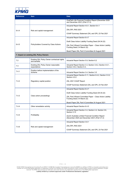

| <b>Reference</b>                        | <b>Item</b>                                                  | <b>Data</b>                                                                                          |  |  |
|-----------------------------------------|--------------------------------------------------------------|------------------------------------------------------------------------------------------------------|--|--|
|                                         |                                                              | OnePath Life Financial Condition Report (December 2020<br>and December 2021) (Part C7.2)             |  |  |
|                                         |                                                              | Actuarial Report Section 4.6.1, Section 6.4.1                                                        |  |  |
| 6.4.4                                   | Risk and capital management                                  | ZAL/OPL RAS 2021                                                                                     |  |  |
|                                         |                                                              | ICAAP Summary Statement ZAL and OPL 23 Feb 2021                                                      |  |  |
| 6.4.5                                   | Policyholders Covered by Class Actions                       | Actuarial Report Section 6.4.7                                                                       |  |  |
|                                         |                                                              | Draft Class Action Liability Funding Deed (04.04.22)                                                 |  |  |
|                                         |                                                              | ZAL Part 9 Board Committee Paper - Class Action Liability<br>Funding Deed (14 March 22)              |  |  |
|                                         |                                                              | Board Paper ZAL Part 9 Committee 24 August 2021                                                      |  |  |
| 7. Impact on existing ZAL Policy Owners |                                                              |                                                                                                      |  |  |
| 7.2                                     | Existing ZAL Policy Owner contractual rights<br>and benefits | Actuarial Report Section 5.9, Section 6.2                                                            |  |  |
| 7.3                                     | Existing ZAL Policy Owner reasonable<br>expectations         | Actuarial Report Section 3.3, Section 3.6.2, Section 4.6.1,<br>Section 4.6.2, Section 6.3,           |  |  |
| 7.4.1                                   | Position before implementation of the<br>Scheme              | Actuarial Report Section 3.4, Section 3.5                                                            |  |  |
|                                         |                                                              | Actuarial Report Section 5.11, Section 6.4.2, Section 3.5.2,<br>Section 4.5.2.                       |  |  |
| 7.4.2                                   | Regulatory capital position                                  | ZAL 2021 ICAAP Report                                                                                |  |  |
|                                         |                                                              | ICAAP Summary Statement ZAL and OPL 23 Feb 2021                                                      |  |  |
|                                         |                                                              | Actuarial Report Section 6.4.7                                                                       |  |  |
|                                         |                                                              | Draft Class Action Liability Funding Deed (04.04.22)                                                 |  |  |
| 7.4.3                                   | Class action proceedings                                     | ZAL Part 9 Board Committee Paper - Class Action Liability<br>Funding Deed (14 March 22)              |  |  |
|                                         |                                                              | Board Paper ZAL Part 9 Committee 24 August 2021                                                      |  |  |
| 7.4.4                                   | Other remediation activity                                   | Actuarial Report Section 6.4.5                                                                       |  |  |
|                                         |                                                              | Actuarial Report Section 3.4, Section 4.4, Section 5.8,<br>Section 5.10                              |  |  |
| 7.4.5                                   | Profitability                                                | Zurich Australia Limited Financial Condition Report<br>(December 2020 and December 2021) (Part C7.2) |  |  |
| 746                                     | Risk and capital management                                  | Actuarial Report Section 3.6.1                                                                       |  |  |
|                                         |                                                              | ZAL/OPL RAS 2021                                                                                     |  |  |
|                                         |                                                              | ICAAP Summary Statement ZAL and OPL 23 Feb 2021                                                      |  |  |